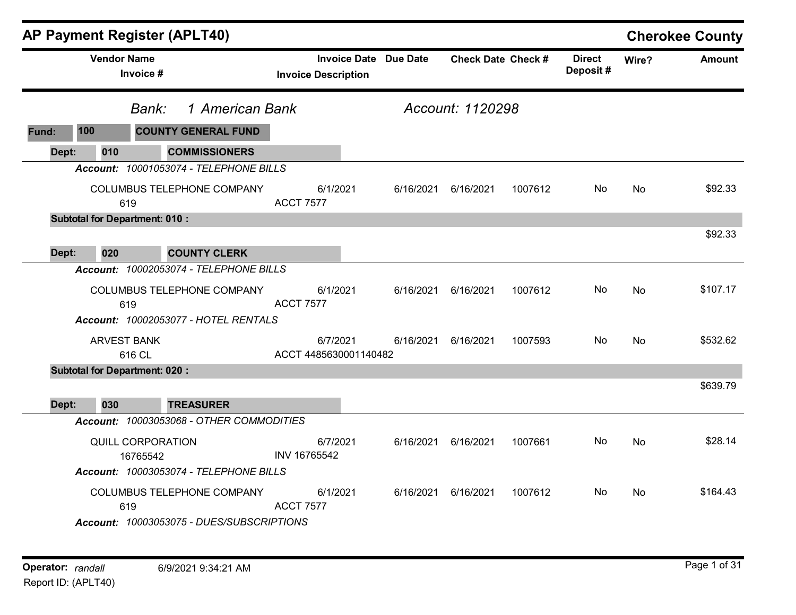| <b>AP Payment Register (APLT40)</b> |                    |                                      |                                                                                |                                   |                              |                           |         |                           |           | <b>Cherokee County</b> |
|-------------------------------------|--------------------|--------------------------------------|--------------------------------------------------------------------------------|-----------------------------------|------------------------------|---------------------------|---------|---------------------------|-----------|------------------------|
|                                     | <b>Vendor Name</b> | Invoice #                            |                                                                                | <b>Invoice Description</b>        | <b>Invoice Date Due Date</b> | <b>Check Date Check #</b> |         | <b>Direct</b><br>Deposit# | Wire?     | <b>Amount</b>          |
|                                     |                    | Bank:                                | 1 American Bank                                                                |                                   |                              | Account: 1120298          |         |                           |           |                        |
| Fund:                               | 100                |                                      | <b>COUNTY GENERAL FUND</b>                                                     |                                   |                              |                           |         |                           |           |                        |
| Dept:                               | 010                |                                      | <b>COMMISSIONERS</b>                                                           |                                   |                              |                           |         |                           |           |                        |
|                                     |                    |                                      | Account: 10001053074 - TELEPHONE BILLS                                         |                                   |                              |                           |         |                           |           |                        |
|                                     |                    | 619                                  | COLUMBUS TELEPHONE COMPANY                                                     | 6/1/2021<br><b>ACCT 7577</b>      | 6/16/2021                    | 6/16/2021                 | 1007612 | No                        | No        | \$92.33                |
|                                     |                    | <b>Subtotal for Department: 010:</b> |                                                                                |                                   |                              |                           |         |                           |           |                        |
| Dept:                               | 020                |                                      | <b>COUNTY CLERK</b>                                                            |                                   |                              |                           |         |                           |           | \$92.33                |
|                                     |                    |                                      | Account: 10002053074 - TELEPHONE BILLS                                         |                                   |                              |                           |         |                           |           |                        |
|                                     |                    | 619                                  | COLUMBUS TELEPHONE COMPANY                                                     | 6/1/2021<br><b>ACCT 7577</b>      | 6/16/2021                    | 6/16/2021                 | 1007612 | No.                       | <b>No</b> | \$107.17               |
|                                     |                    |                                      | Account: 10002053077 - HOTEL RENTALS                                           |                                   |                              |                           |         |                           |           |                        |
|                                     |                    | <b>ARVEST BANK</b><br>616 CL         |                                                                                | 6/7/2021<br>ACCT 4485630001140482 | 6/16/2021                    | 6/16/2021                 | 1007593 | No.                       | No        | \$532.62               |
|                                     |                    | <b>Subtotal for Department: 020:</b> |                                                                                |                                   |                              |                           |         |                           |           |                        |
| Dept:                               | 030                |                                      | <b>TREASURER</b>                                                               |                                   |                              |                           |         |                           |           | \$639.79               |
|                                     |                    |                                      | Account: 10003053068 - OTHER COMMODITIES                                       |                                   |                              |                           |         |                           |           |                        |
|                                     |                    | QUILL CORPORATION<br>16765542        | Account: 10003053074 - TELEPHONE BILLS                                         | 6/7/2021<br>INV 16765542          | 6/16/2021                    | 6/16/2021                 | 1007661 | No.                       | No        | \$28.14                |
|                                     |                    | 619                                  | <b>COLUMBUS TELEPHONE COMPANY</b><br>Account: 10003053075 - DUES/SUBSCRIPTIONS | 6/1/2021<br><b>ACCT 7577</b>      | 6/16/2021                    | 6/16/2021                 | 1007612 | No.                       | No.       | \$164.43               |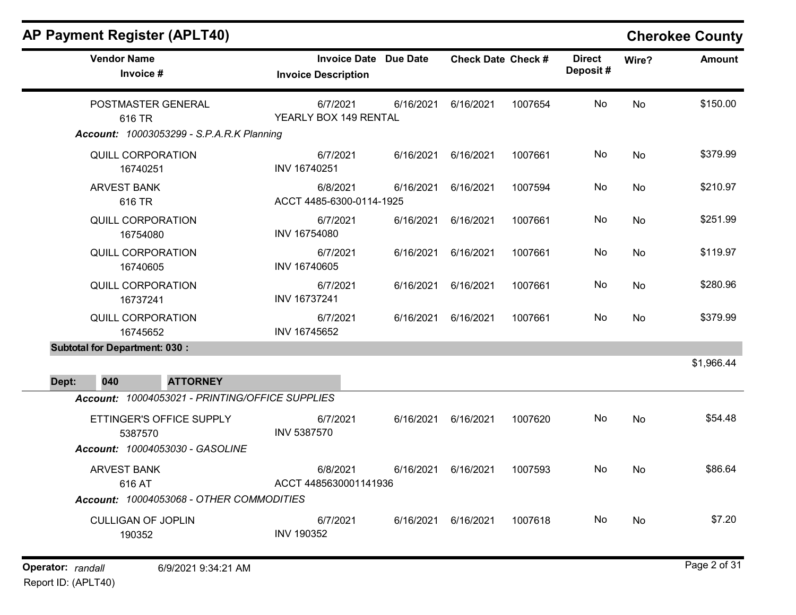| <b>Vendor Name</b><br>Invoice #                                                    | <b>Invoice Date Due Date</b><br><b>Invoice Description</b> | <b>Check Date Check #</b> | <b>Direct</b><br>Deposit# | Wire?     | <b>Amount</b> |
|------------------------------------------------------------------------------------|------------------------------------------------------------|---------------------------|---------------------------|-----------|---------------|
| POSTMASTER GENERAL<br>616 TR<br><b>Account: 10003053299 - S.P.A.R.K Planning</b>   | 6/7/2021<br>6/16/2021<br>YEARLY BOX 149 RENTAL             | 6/16/2021<br>1007654      | No                        | <b>No</b> | \$150.00      |
| <b>QUILL CORPORATION</b><br>16740251                                               | 6/7/2021<br>6/16/2021<br>INV 16740251                      | 6/16/2021                 | 1007661<br>No             | <b>No</b> | \$379.99      |
| <b>ARVEST BANK</b><br>616 TR                                                       | 6/8/2021<br>6/16/2021<br>ACCT 4485-6300-0114-1925          | 6/16/2021<br>1007594      | No.                       | No        | \$210.97      |
| QUILL CORPORATION<br>16754080                                                      | 6/7/2021<br>6/16/2021<br>INV 16754080                      | 6/16/2021<br>1007661      | No.                       | No        | \$251.99      |
| QUILL CORPORATION<br>16740605                                                      | 6/7/2021<br>6/16/2021<br>INV 16740605                      | 6/16/2021                 | No<br>1007661             | <b>No</b> | \$119.97      |
| QUILL CORPORATION<br>16737241                                                      | 6/7/2021<br>6/16/2021<br>INV 16737241                      | 6/16/2021<br>1007661      | No.                       | No        | \$280.96      |
| QUILL CORPORATION<br>16745652                                                      | 6/7/2021<br>6/16/2021<br>INV 16745652                      | 1007661<br>6/16/2021      | No                        | <b>No</b> | \$379.99      |
| <b>Subtotal for Department: 030:</b>                                               |                                                            |                           |                           |           |               |
| Dept:<br>040<br><b>ATTORNEY</b><br>Account: 10004053021 - PRINTING/OFFICE SUPPLIES |                                                            |                           |                           |           | \$1,966.44    |
| ETTINGER'S OFFICE SUPPLY<br>5387570<br>Account: 10004053030 - GASOLINE             | 6/7/2021<br>INV 5387570                                    | 6/16/2021 6/16/2021       | No<br>1007620             | <b>No</b> | \$54.48       |
| <b>ARVEST BANK</b><br>616 AT<br>Account: 10004053068 - OTHER COMMODITIES           | 6/8/2021<br>ACCT 4485630001141936                          | 6/16/2021 6/16/2021       | 1007593<br>No.            | No        | \$86.64       |
| <b>CULLIGAN OF JOPLIN</b><br>190352                                                | 6/7/2021<br>6/16/2021<br><b>INV 190352</b>                 | 6/16/2021                 | 1007618<br>No.            | No        | \$7.20        |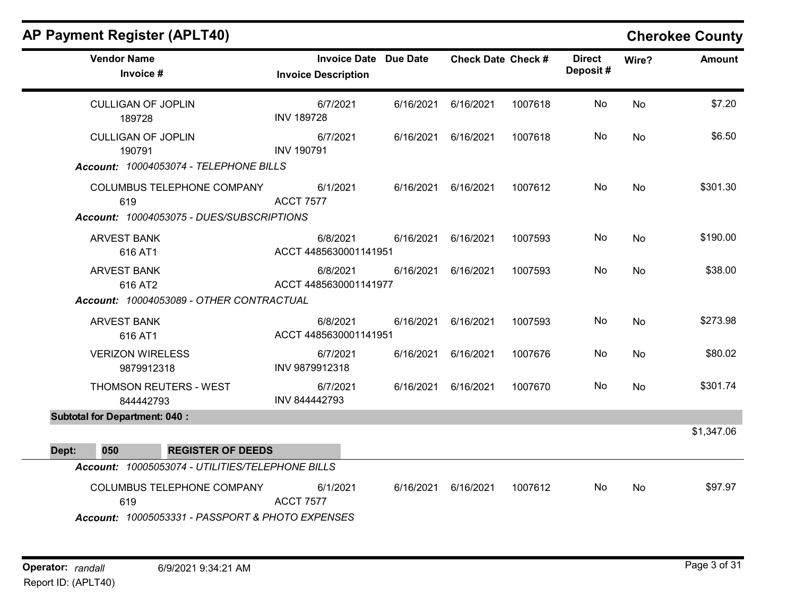### AP Payment Register (APLT40) Cherokee County Vendor Name **Invoice Date Due Date** Check Date Check Date Check Date Check Date Check Date Check Date Check Date Invoice # **Check Date Check #** Invoice Description Direct Wire? Amount Deposit # CULLIGAN OF JOPLIN 189728 6/7/2021 6/16/2021 6/16/2021 1007618 No \$7.20 INV 189728 No CULLIGAN OF JOPLIN 190791 6/7/2021 6/16/2021 6/16/2021 1007618 No \$6.50 INV 190791 No Account: 10004053074 - TELEPHONE BILLS COLUMBUS TELEPHONE COMPANY 619 6/1/2021 6/16/2021 6/16/2021 1007612 No \$301.30 ACCT 7577 No Account: 10004053075 - DUES/SUBSCRIPTIONS ARVEST BANK 616 AT1 6/8/2021 6/16/2021 6/16/2021 1007593 No \$190.00 ACCT 4485630001141951 No ARVEST BANK 616 AT2 6/8/2021 6/16/2021 6/16/2021 1007593 No \$38.00 ACCT 4485630001141977 No Account: 10004053089 - OTHER CONTRACTUAL ARVEST BANK 616 AT1 6/8/2021 6/16/2021 6/16/2021 1007593 No \$273.98 ACCT 4485630001141951 No VERIZON WIRELESS 9879912318 6/7/2021 6/16/2021 6/16/2021 1007676 No \$80.02 INV 9879912318 No THOMSON REUTERS - WEST 844442793 6/7/2021 6/16/2021 6/16/2021 1007670 No \$301.74 INV 844442793 No Subtotal for Department: 040 : \$1,347.06 Dept: 050 REGISTER OF DEEDS Account: 10005053074 - UTILITIES/TELEPHONE BILLS COLUMBUS TELEPHONE COMPANY 619 6/1/2021 6/16/2021 6/16/2021 1007612 No \$97.97 ACCT 7577 No

Account: 10005053331 - PASSPORT & PHOTO EXPENSES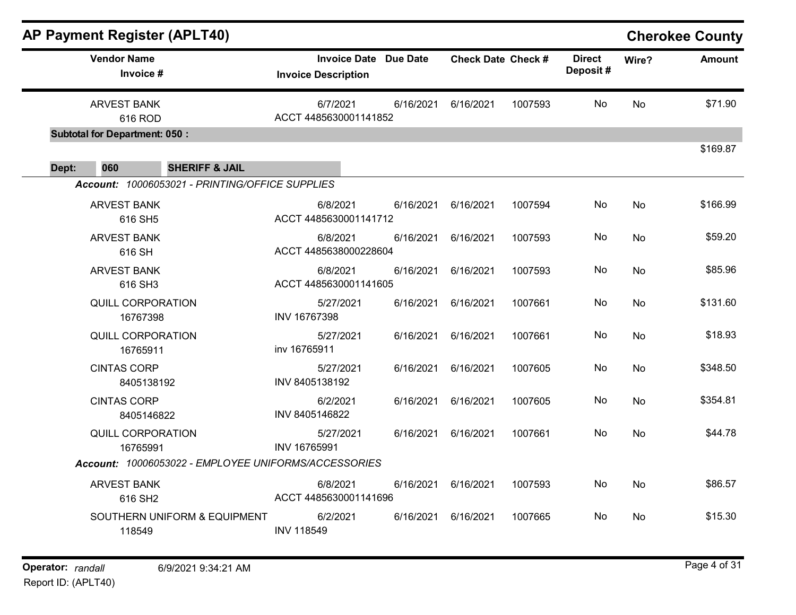|       |                                      | <b>AP Payment Register (APLT40)</b>                                          |                                   |                              |                           |         |                           |           | <b>Cherokee County</b> |
|-------|--------------------------------------|------------------------------------------------------------------------------|-----------------------------------|------------------------------|---------------------------|---------|---------------------------|-----------|------------------------|
|       | <b>Vendor Name</b><br>Invoice #      |                                                                              | <b>Invoice Description</b>        | <b>Invoice Date Due Date</b> | <b>Check Date Check #</b> |         | <b>Direct</b><br>Deposit# | Wire?     | <b>Amount</b>          |
|       | <b>ARVEST BANK</b><br>616 ROD        |                                                                              | 6/7/2021<br>ACCT 4485630001141852 | 6/16/2021                    | 6/16/2021                 | 1007593 | No                        | <b>No</b> | \$71.90                |
|       | <b>Subtotal for Department: 050:</b> |                                                                              |                                   |                              |                           |         |                           |           | \$169.87               |
| Dept: | 060                                  | <b>SHERIFF &amp; JAIL</b><br>Account: 10006053021 - PRINTING/OFFICE SUPPLIES |                                   |                              |                           |         |                           |           |                        |
|       | <b>ARVEST BANK</b><br>616 SH5        |                                                                              | 6/8/2021<br>ACCT 4485630001141712 | 6/16/2021                    | 6/16/2021                 | 1007594 | No                        | <b>No</b> | \$166.99               |
|       | <b>ARVEST BANK</b><br>616 SH         |                                                                              | 6/8/2021<br>ACCT 4485638000228604 | 6/16/2021                    | 6/16/2021                 | 1007593 | No                        | <b>No</b> | \$59.20                |
|       | <b>ARVEST BANK</b><br>616 SH3        |                                                                              | 6/8/2021<br>ACCT 4485630001141605 | 6/16/2021                    | 6/16/2021                 | 1007593 | No                        | <b>No</b> | \$85.96                |
|       | <b>QUILL CORPORATION</b><br>16767398 |                                                                              | 5/27/2021<br>INV 16767398         | 6/16/2021                    | 6/16/2021                 | 1007661 | No                        | No        | \$131.60               |
|       | <b>QUILL CORPORATION</b><br>16765911 |                                                                              | 5/27/2021<br>inv 16765911         | 6/16/2021                    | 6/16/2021                 | 1007661 | No                        | <b>No</b> | \$18.93                |
|       | <b>CINTAS CORP</b><br>8405138192     |                                                                              | 5/27/2021<br>INV 8405138192       | 6/16/2021                    | 6/16/2021                 | 1007605 | No                        | <b>No</b> | \$348.50               |
|       | <b>CINTAS CORP</b><br>8405146822     |                                                                              | 6/2/2021<br>INV 8405146822        | 6/16/2021                    | 6/16/2021                 | 1007605 | No                        | No        | \$354.81               |
|       | <b>QUILL CORPORATION</b><br>16765991 |                                                                              | 5/27/2021<br>INV 16765991         | 6/16/2021                    | 6/16/2021                 | 1007661 | No                        | <b>No</b> | \$44.78                |
|       |                                      | Account: 10006053022 - EMPLOYEE UNIFORMS/ACCESSORIES                         |                                   |                              |                           |         |                           |           |                        |
|       | <b>ARVEST BANK</b><br>616 SH2        |                                                                              | 6/8/2021<br>ACCT 4485630001141696 | 6/16/2021                    | 6/16/2021                 | 1007593 | No                        | <b>No</b> | \$86.57                |
|       | 118549                               | SOUTHERN UNIFORM & EQUIPMENT                                                 | 6/2/2021<br><b>INV 118549</b>     | 6/16/2021                    | 6/16/2021                 | 1007665 | No.                       | No        | \$15.30                |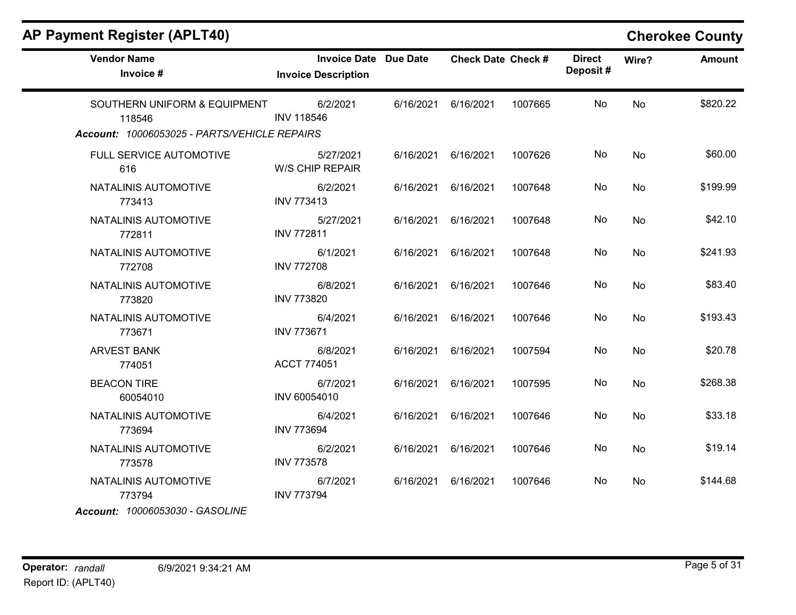|  | AP Payment Register (APLT40) |  |
|--|------------------------------|--|
|  |                              |  |

### **Cherokee County**

| <b>Vendor Name</b><br>Invoice #                                                        | <b>Invoice Date Due Date</b><br><b>Invoice Description</b> |           | <b>Check Date Check #</b> |         | <b>Direct</b><br>Deposit# | Wire?     | <b>Amount</b> |
|----------------------------------------------------------------------------------------|------------------------------------------------------------|-----------|---------------------------|---------|---------------------------|-----------|---------------|
| SOUTHERN UNIFORM & EQUIPMENT<br>118546<br>Account: 10006053025 - PARTS/VEHICLE REPAIRS | 6/2/2021<br><b>INV 118546</b>                              | 6/16/2021 | 6/16/2021                 | 1007665 | No                        | No        | \$820.22      |
| FULL SERVICE AUTOMOTIVE<br>616                                                         | 5/27/2021<br><b>W/S CHIP REPAIR</b>                        | 6/16/2021 | 6/16/2021                 | 1007626 | No                        | No        | \$60.00       |
| NATALINIS AUTOMOTIVE<br>773413                                                         | 6/2/2021<br><b>INV 773413</b>                              | 6/16/2021 | 6/16/2021                 | 1007648 | No                        | No        | \$199.99      |
| NATALINIS AUTOMOTIVE<br>772811                                                         | 5/27/2021<br><b>INV 772811</b>                             | 6/16/2021 | 6/16/2021                 | 1007648 | No                        | No        | \$42.10       |
| NATALINIS AUTOMOTIVE<br>772708                                                         | 6/1/2021<br><b>INV 772708</b>                              | 6/16/2021 | 6/16/2021                 | 1007648 | No.                       | <b>No</b> | \$241.93      |
| NATALINIS AUTOMOTIVE<br>773820                                                         | 6/8/2021<br><b>INV 773820</b>                              | 6/16/2021 | 6/16/2021                 | 1007646 | No.                       | No        | \$83.40       |
| NATALINIS AUTOMOTIVE<br>773671                                                         | 6/4/2021<br><b>INV 773671</b>                              | 6/16/2021 | 6/16/2021                 | 1007646 | No.                       | No        | \$193.43      |
| <b>ARVEST BANK</b><br>774051                                                           | 6/8/2021<br><b>ACCT 774051</b>                             | 6/16/2021 | 6/16/2021                 | 1007594 | No                        | No        | \$20.78       |
| <b>BEACON TIRE</b><br>60054010                                                         | 6/7/2021<br>INV 60054010                                   | 6/16/2021 | 6/16/2021                 | 1007595 | No                        | No        | \$268.38      |
| NATALINIS AUTOMOTIVE<br>773694                                                         | 6/4/2021<br><b>INV 773694</b>                              | 6/16/2021 | 6/16/2021                 | 1007646 | No                        | No        | \$33.18       |
| NATALINIS AUTOMOTIVE<br>773578                                                         | 6/2/2021<br><b>INV 773578</b>                              | 6/16/2021 | 6/16/2021                 | 1007646 | No                        | No        | \$19.14       |
| NATALINIS AUTOMOTIVE<br>773794                                                         | 6/7/2021<br><b>INV 773794</b>                              | 6/16/2021 | 6/16/2021                 | 1007646 | No.                       | No        | \$144.68      |
| Account: 10006053030 - GASOLINE                                                        |                                                            |           |                           |         |                           |           |               |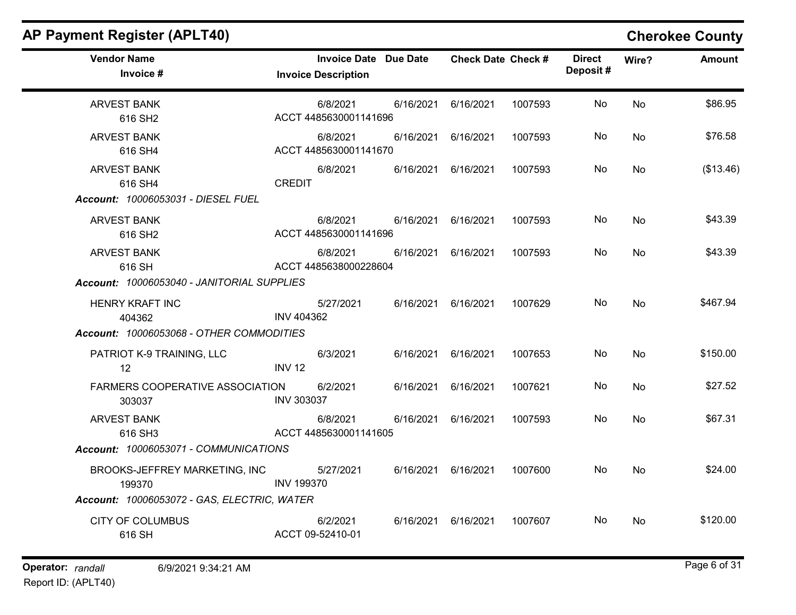| <b>AP Payment Register (APLT40)</b>                                        |                   |                                                            |           |                           |         |                           |           | <b>Cherokee County</b> |
|----------------------------------------------------------------------------|-------------------|------------------------------------------------------------|-----------|---------------------------|---------|---------------------------|-----------|------------------------|
| <b>Vendor Name</b><br>Invoice #                                            |                   | <b>Invoice Date Due Date</b><br><b>Invoice Description</b> |           | <b>Check Date Check #</b> |         | <b>Direct</b><br>Deposit# | Wire?     | <b>Amount</b>          |
| <b>ARVEST BANK</b><br>616 SH <sub>2</sub>                                  |                   | 6/8/2021<br>ACCT 4485630001141696                          | 6/16/2021 | 6/16/2021                 | 1007593 | No                        | No        | \$86.95                |
| <b>ARVEST BANK</b><br>616 SH4                                              |                   | 6/8/2021<br>ACCT 4485630001141670                          | 6/16/2021 | 6/16/2021                 | 1007593 | No.                       | No        | \$76.58                |
| <b>ARVEST BANK</b><br>616 SH4<br>Account: 10006053031 - DIESEL FUEL        | <b>CREDIT</b>     | 6/8/2021                                                   | 6/16/2021 | 6/16/2021                 | 1007593 | No                        | <b>No</b> | (\$13.46)              |
| <b>ARVEST BANK</b><br>616 SH <sub>2</sub>                                  |                   | 6/8/2021<br>ACCT 4485630001141696                          |           | 6/16/2021 6/16/2021       | 1007593 | No.                       | No        | \$43.39                |
| <b>ARVEST BANK</b><br>616 SH<br>Account: 10006053040 - JANITORIAL SUPPLIES |                   | 6/8/2021<br>ACCT 4485638000228604                          |           | 6/16/2021 6/16/2021       | 1007593 | No                        | No        | \$43.39                |
| <b>HENRY KRAFT INC</b><br>404362                                           | <b>INV 404362</b> | 5/27/2021                                                  | 6/16/2021 | 6/16/2021                 | 1007629 | No                        | No        | \$467.94               |
| Account: 10006053068 - OTHER COMMODITIES                                   |                   |                                                            |           |                           |         |                           |           |                        |
| PATRIOT K-9 TRAINING, LLC<br>$12 \overline{ }$                             | <b>INV 12</b>     | 6/3/2021                                                   | 6/16/2021 | 6/16/2021                 | 1007653 | No                        | No        | \$150.00               |
| <b>FARMERS COOPERATIVE ASSOCIATION</b><br>303037                           | <b>INV 303037</b> | 6/2/2021                                                   | 6/16/2021 | 6/16/2021                 | 1007621 | No                        | No        | \$27.52                |
| <b>ARVEST BANK</b><br>616 SH3                                              |                   | 6/8/2021<br>ACCT 4485630001141605                          | 6/16/2021 | 6/16/2021                 | 1007593 | No.                       | No        | \$67.31                |
| Account: 10006053071 - COMMUNICATIONS                                      |                   |                                                            |           |                           |         |                           |           |                        |
| BROOKS-JEFFREY MARKETING, INC<br>199370                                    | <b>INV 199370</b> | 5/27/2021                                                  | 6/16/2021 | 6/16/2021                 | 1007600 | No                        | <b>No</b> | \$24.00                |
| Account: 10006053072 - GAS, ELECTRIC, WATER                                |                   |                                                            |           |                           |         |                           |           |                        |
| <b>CITY OF COLUMBUS</b><br>616 SH                                          |                   | 6/2/2021<br>ACCT 09-52410-01                               | 6/16/2021 | 6/16/2021                 | 1007607 | No.                       | No        | \$120.00               |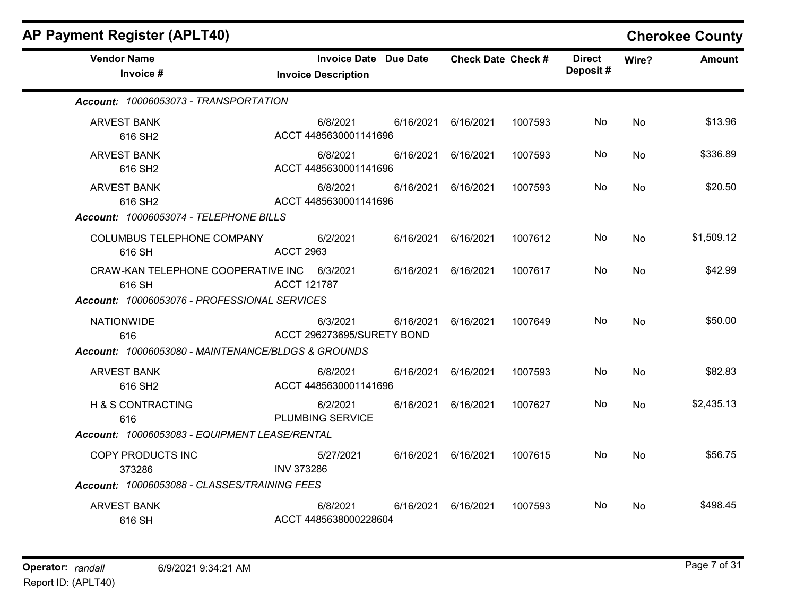| <b>AP Payment Register (APLT40)</b>                   |                    |                                                            |           |                           |         |                           |           | <b>Cherokee County</b> |
|-------------------------------------------------------|--------------------|------------------------------------------------------------|-----------|---------------------------|---------|---------------------------|-----------|------------------------|
| <b>Vendor Name</b><br>Invoice #                       |                    | <b>Invoice Date Due Date</b><br><b>Invoice Description</b> |           | <b>Check Date Check #</b> |         | <b>Direct</b><br>Deposit# | Wire?     | <b>Amount</b>          |
| Account: 10006053073 - TRANSPORTATION                 |                    |                                                            |           |                           |         |                           |           |                        |
| <b>ARVEST BANK</b><br>616 SH <sub>2</sub>             |                    | 6/8/2021<br>ACCT 4485630001141696                          | 6/16/2021 | 6/16/2021                 | 1007593 | No.                       | No        | \$13.96                |
| <b>ARVEST BANK</b><br>616 SH <sub>2</sub>             |                    | 6/8/2021<br>ACCT 4485630001141696                          | 6/16/2021 | 6/16/2021                 | 1007593 | No                        | No        | \$336.89               |
| <b>ARVEST BANK</b><br>616 SH <sub>2</sub>             |                    | 6/8/2021<br>ACCT 4485630001141696                          |           | 6/16/2021 6/16/2021       | 1007593 | No.                       | No        | \$20.50                |
| Account: 10006053074 - TELEPHONE BILLS                |                    |                                                            |           |                           |         |                           |           |                        |
| COLUMBUS TELEPHONE COMPANY<br>616 SH                  | <b>ACCT 2963</b>   | 6/2/2021                                                   | 6/16/2021 | 6/16/2021                 | 1007612 | No.                       | No        | \$1,509.12             |
| CRAW-KAN TELEPHONE COOPERATIVE INC 6/3/2021<br>616 SH | <b>ACCT 121787</b> |                                                            | 6/16/2021 | 6/16/2021                 | 1007617 | No                        | <b>No</b> | \$42.99                |
| Account: 10006053076 - PROFESSIONAL SERVICES          |                    |                                                            |           |                           |         |                           |           |                        |
| <b>NATIONWIDE</b><br>616                              |                    | 6/3/2021<br>ACCT 296273695/SURETY BOND                     | 6/16/2021 | 6/16/2021                 | 1007649 | No                        | No        | \$50.00                |
| Account: 10006053080 - MAINTENANCE/BLDGS & GROUNDS    |                    |                                                            |           |                           |         |                           |           |                        |
| <b>ARVEST BANK</b><br>616 SH2                         |                    | 6/8/2021<br>ACCT 4485630001141696                          | 6/16/2021 | 6/16/2021                 | 1007593 | No                        | <b>No</b> | \$82.83                |
| H & S CONTRACTING<br>616                              |                    | 6/2/2021<br>PLUMBING SERVICE                               | 6/16/2021 | 6/16/2021                 | 1007627 | No                        | <b>No</b> | \$2,435.13             |
| Account: 10006053083 - EQUIPMENT LEASE/RENTAL         |                    |                                                            |           |                           |         |                           |           |                        |
| COPY PRODUCTS INC<br>373286                           | <b>INV 373286</b>  | 5/27/2021                                                  |           | 6/16/2021 6/16/2021       | 1007615 | No.                       | <b>No</b> | \$56.75                |
| Account: 10006053088 - CLASSES/TRAINING FEES          |                    |                                                            |           |                           |         |                           |           |                        |
| <b>ARVEST BANK</b><br>616 SH                          |                    | 6/8/2021<br>ACCT 4485638000228604                          | 6/16/2021 | 6/16/2021                 | 1007593 | No.                       | No        | \$498.45               |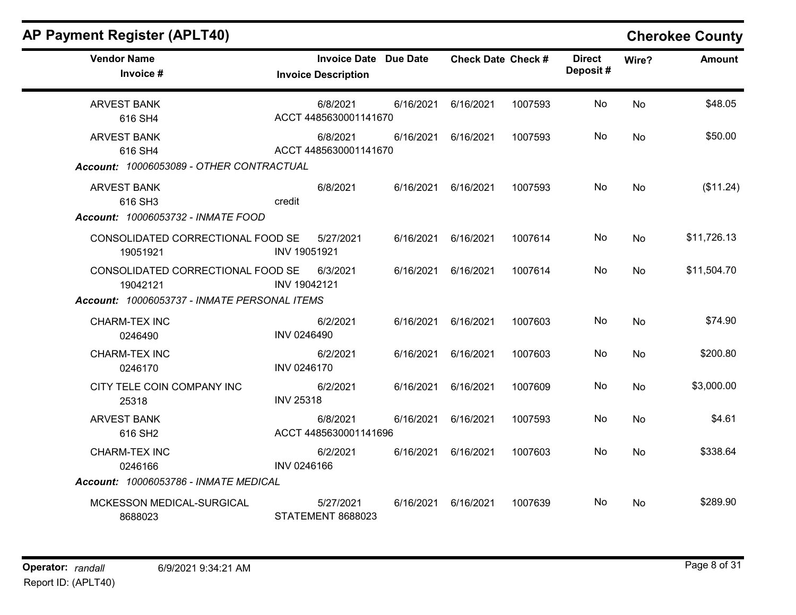| <b>AP Payment Register (APLT40)</b>                                                           |                                                            |           |                           |         |                           |           | <b>Cherokee County</b> |
|-----------------------------------------------------------------------------------------------|------------------------------------------------------------|-----------|---------------------------|---------|---------------------------|-----------|------------------------|
| <b>Vendor Name</b><br>Invoice #                                                               | <b>Invoice Date Due Date</b><br><b>Invoice Description</b> |           | <b>Check Date Check #</b> |         | <b>Direct</b><br>Deposit# | Wire?     | <b>Amount</b>          |
| <b>ARVEST BANK</b><br>616 SH4                                                                 | 6/8/2021<br>ACCT 4485630001141670                          | 6/16/2021 | 6/16/2021                 | 1007593 | No                        | <b>No</b> | \$48.05                |
| <b>ARVEST BANK</b><br>616 SH4<br>Account: 10006053089 - OTHER CONTRACTUAL                     | 6/8/2021<br>ACCT 4485630001141670                          | 6/16/2021 | 6/16/2021                 | 1007593 | No                        | No        | \$50.00                |
| <b>ARVEST BANK</b><br>616 SH3<br>Account: 10006053732 - INMATE FOOD                           | 6/8/2021<br>credit                                         | 6/16/2021 | 6/16/2021                 | 1007593 | No                        | No        | (\$11.24)              |
| CONSOLIDATED CORRECTIONAL FOOD SE<br>19051921                                                 | 5/27/2021<br>INV 19051921                                  | 6/16/2021 | 6/16/2021                 | 1007614 | No                        | No        | \$11,726.13            |
| CONSOLIDATED CORRECTIONAL FOOD SE<br>19042121<br>Account: 10006053737 - INMATE PERSONAL ITEMS | 6/3/2021<br>INV 19042121                                   | 6/16/2021 | 6/16/2021                 | 1007614 | No                        | No        | \$11,504.70            |
| CHARM-TEX INC<br>0246490                                                                      | 6/2/2021<br>INV 0246490                                    | 6/16/2021 | 6/16/2021                 | 1007603 | No                        | No        | \$74.90                |
| CHARM-TEX INC<br>0246170                                                                      | 6/2/2021<br>INV 0246170                                    | 6/16/2021 | 6/16/2021                 | 1007603 | No.                       | No.       | \$200.80               |
| CITY TELE COIN COMPANY INC<br>25318                                                           | 6/2/2021<br><b>INV 25318</b>                               | 6/16/2021 | 6/16/2021                 | 1007609 | No                        | No        | \$3,000.00             |
| <b>ARVEST BANK</b><br>616 SH <sub>2</sub>                                                     | 6/8/2021<br>ACCT 4485630001141696                          | 6/16/2021 | 6/16/2021                 | 1007593 | No                        | No        | \$4.61                 |
| <b>CHARM-TEX INC</b><br>0246166                                                               | 6/2/2021<br>INV 0246166                                    | 6/16/2021 | 6/16/2021                 | 1007603 | No                        | No        | \$338.64               |
| Account: 10006053786 - INMATE MEDICAL                                                         |                                                            |           |                           |         |                           |           |                        |
| MCKESSON MEDICAL-SURGICAL<br>8688023                                                          | 5/27/2021<br><b>STATEMENT 8688023</b>                      | 6/16/2021 | 6/16/2021                 | 1007639 | No.                       | No        | \$289.90               |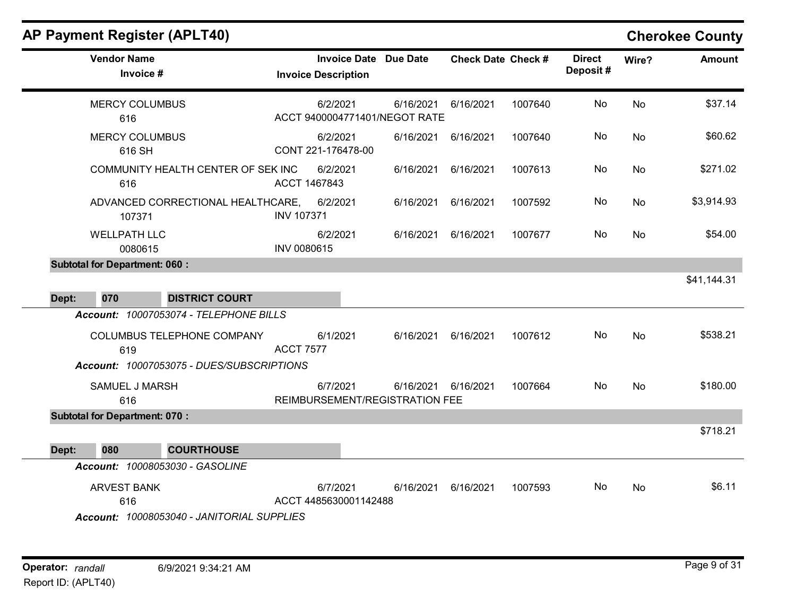$\blacksquare$ 

| <b>Vendor Name</b><br>Invoice #                                           | <b>Invoice Date Due Date</b><br><b>Invoice Description</b> |                     | <b>Check Date Check #</b> |         | <b>Direct</b><br>Deposit# | Wire?     | <b>Amount</b> |
|---------------------------------------------------------------------------|------------------------------------------------------------|---------------------|---------------------------|---------|---------------------------|-----------|---------------|
| <b>MERCY COLUMBUS</b><br>616                                              | 6/2/2021<br>ACCT 9400004771401/NEGOT RATE                  | 6/16/2021           | 6/16/2021                 | 1007640 | No                        | <b>No</b> | \$37.14       |
| <b>MERCY COLUMBUS</b><br>616 SH                                           | 6/2/2021<br>CONT 221-176478-00                             | 6/16/2021           | 6/16/2021                 | 1007640 | No                        | No        | \$60.62       |
| COMMUNITY HEALTH CENTER OF SEK INC<br>616                                 | 6/2/2021<br>ACCT 1467843                                   | 6/16/2021           | 6/16/2021                 | 1007613 | No                        | No        | \$271.02      |
| ADVANCED CORRECTIONAL HEALTHCARE,<br>107371                               | 6/2/2021<br><b>INV 107371</b>                              | 6/16/2021           | 6/16/2021                 | 1007592 | No                        | <b>No</b> | \$3,914.93    |
| <b>WELLPATH LLC</b><br>0080615                                            | 6/2/2021<br>INV 0080615                                    | 6/16/2021           | 6/16/2021                 | 1007677 | No.                       | <b>No</b> | \$54.00       |
| <b>Subtotal for Department: 060:</b>                                      |                                                            |                     |                           |         |                           |           |               |
| <b>DISTRICT COURT</b><br>Dept:<br>070                                     |                                                            |                     |                           |         |                           |           | \$41,144.31   |
| Account: 10007053074 - TELEPHONE BILLS                                    |                                                            |                     |                           |         |                           |           |               |
| COLUMBUS TELEPHONE COMPANY<br>619                                         | 6/1/2021<br><b>ACCT 7577</b>                               | 6/16/2021           | 6/16/2021                 | 1007612 | No                        | No        | \$538.21      |
| Account: 10007053075 - DUES/SUBSCRIPTIONS                                 |                                                            |                     |                           |         |                           |           |               |
| SAMUEL J MARSH<br>616                                                     | 6/7/2021<br>REIMBURSEMENT/REGISTRATION FEE                 | 6/16/2021 6/16/2021 |                           | 1007664 | No                        | No        | \$180.00      |
| <b>Subtotal for Department: 070:</b>                                      |                                                            |                     |                           |         |                           |           |               |
|                                                                           |                                                            |                     |                           |         |                           |           | \$718.21      |
| <b>COURTHOUSE</b><br>Dept:<br>080                                         |                                                            |                     |                           |         |                           |           |               |
| Account: 10008053030 - GASOLINE                                           |                                                            |                     |                           |         |                           |           |               |
| <b>ARVEST BANK</b><br>616<br>$A$ aasunt: 10000052010 IANIITODIAI CUDDUIEC | 6/7/2021<br>ACCT 4485630001142488                          | 6/16/2021           | 6/16/2021                 | 1007593 | No.                       | No        | \$6.11        |

Account: 10008053040 - JANITORIAL SUPPLIES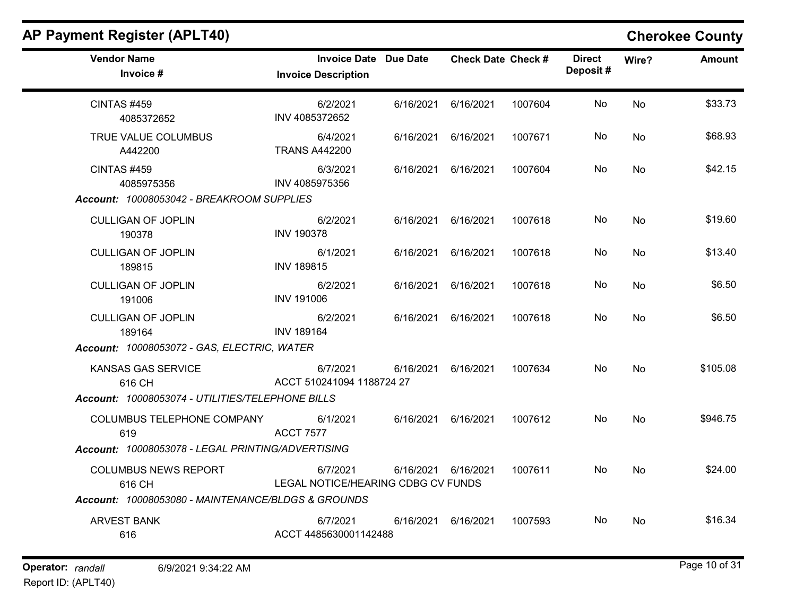| <b>AP Payment Register (APLT40)</b>                                              |                                                            |           |                           |         |                           |       | <b>Cherokee County</b> |
|----------------------------------------------------------------------------------|------------------------------------------------------------|-----------|---------------------------|---------|---------------------------|-------|------------------------|
| <b>Vendor Name</b><br>Invoice #                                                  | <b>Invoice Date Due Date</b><br><b>Invoice Description</b> |           | <b>Check Date Check #</b> |         | <b>Direct</b><br>Deposit# | Wire? | Amount                 |
| CINTAS #459<br>4085372652                                                        | 6/2/2021<br>INV 4085372652                                 | 6/16/2021 | 6/16/2021                 | 1007604 | No                        | No    | \$33.73                |
| TRUE VALUE COLUMBUS<br>A442200                                                   | 6/4/2021<br><b>TRANS A442200</b>                           | 6/16/2021 | 6/16/2021                 | 1007671 | No                        | No    | \$68.93                |
| <b>CINTAS #459</b><br>4085975356                                                 | 6/3/2021<br>INV 4085975356                                 | 6/16/2021 | 6/16/2021                 | 1007604 | No                        | No    | \$42.15                |
| Account: 10008053042 - BREAKROOM SUPPLIES<br><b>CULLIGAN OF JOPLIN</b><br>190378 | 6/2/2021<br><b>INV 190378</b>                              | 6/16/2021 | 6/16/2021                 | 1007618 | No                        | No    | \$19.60                |
| <b>CULLIGAN OF JOPLIN</b><br>189815                                              | 6/1/2021<br><b>INV 189815</b>                              | 6/16/2021 | 6/16/2021                 | 1007618 | No                        | No    | \$13.40                |
| <b>CULLIGAN OF JOPLIN</b><br>191006                                              | 6/2/2021<br><b>INV 191006</b>                              | 6/16/2021 | 6/16/2021                 | 1007618 | No                        | No    | \$6.50                 |
| <b>CULLIGAN OF JOPLIN</b><br>189164                                              | 6/2/2021<br><b>INV 189164</b>                              | 6/16/2021 | 6/16/2021                 | 1007618 | No                        | No    | \$6.50                 |
| Account: 10008053072 - GAS, ELECTRIC, WATER                                      |                                                            |           |                           |         |                           |       |                        |
| KANSAS GAS SERVICE<br>616 CH<br>Account: 10008053074 - UTILITIES/TELEPHONE BILLS | 6/7/2021<br>ACCT 510241094 1188724 27                      | 6/16/2021 | 6/16/2021                 | 1007634 | No                        | No    | \$105.08               |
| COLUMBUS TELEPHONE COMPANY<br>619                                                | 6/1/2021<br><b>ACCT 7577</b>                               | 6/16/2021 | 6/16/2021                 | 1007612 | No                        | No    | \$946.75               |
| Account: 10008053078 - LEGAL PRINTING/ADVERTISING                                |                                                            |           |                           |         |                           |       |                        |
| <b>COLUMBUS NEWS REPORT</b><br>616 CH                                            | 6/7/2021<br>LEGAL NOTICE/HEARING CDBG CV FUNDS             | 6/16/2021 | 6/16/2021                 | 1007611 | No                        | No    | \$24.00                |
| Account: 10008053080 - MAINTENANCE/BLDGS & GROUNDS                               |                                                            |           |                           |         |                           |       |                        |
| <b>ARVEST BANK</b><br>616                                                        | 6/7/2021<br>ACCT 4485630001142488                          | 6/16/2021 | 6/16/2021                 | 1007593 | No                        | No    | \$16.34                |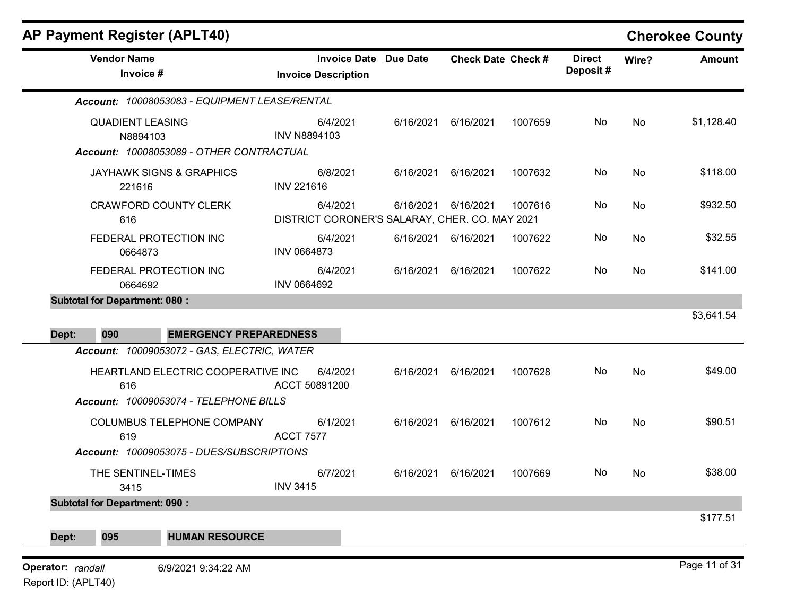|                                          | <b>Vendor Name</b><br>Invoice #                                                                                                    | <b>Invoice Date Due Date</b><br><b>Invoice Description</b> |           | <b>Check Date Check #</b> |         | <b>Direct</b><br>Deposit# | Wire?     | <b>Amount</b> |
|------------------------------------------|------------------------------------------------------------------------------------------------------------------------------------|------------------------------------------------------------|-----------|---------------------------|---------|---------------------------|-----------|---------------|
|                                          | Account: 10008053083 - EQUIPMENT LEASE/RENTAL                                                                                      |                                                            |           |                           |         |                           |           |               |
|                                          | <b>QUADIENT LEASING</b><br>N8894103<br>Account: 10008053089 - OTHER CONTRACTUAL                                                    | 6/4/2021<br><b>INV N8894103</b>                            | 6/16/2021 | 6/16/2021                 | 1007659 | No                        | <b>No</b> | \$1,128.40    |
|                                          | <b>JAYHAWK SIGNS &amp; GRAPHICS</b><br>221616                                                                                      | 6/8/2021<br><b>INV 221616</b>                              | 6/16/2021 | 6/16/2021                 | 1007632 | No                        | No        | \$118.00      |
|                                          | <b>CRAWFORD COUNTY CLERK</b><br>616                                                                                                | 6/4/2021<br>DISTRICT CORONER'S SALARAY, CHER. CO. MAY 2021 | 6/16/2021 | 6/16/2021                 | 1007616 | No                        | No        | \$932.50      |
|                                          | FEDERAL PROTECTION INC<br>0664873                                                                                                  | 6/4/2021<br><b>INV 0664873</b>                             |           | 6/16/2021 6/16/2021       | 1007622 | No                        | No        | \$32.55       |
|                                          | FEDERAL PROTECTION INC<br>0664692                                                                                                  | 6/4/2021<br>INV 0664692                                    | 6/16/2021 | 6/16/2021                 | 1007622 | No                        | No        | \$141.00      |
|                                          | <b>Subtotal for Department: 080:</b>                                                                                               |                                                            |           |                           |         |                           |           |               |
| Dept:                                    | 090<br><b>EMERGENCY PREPAREDNESS</b>                                                                                               |                                                            |           |                           |         |                           |           | \$3,641.54    |
|                                          | Account: 10009053072 - GAS, ELECTRIC, WATER<br>HEARTLAND ELECTRIC COOPERATIVE INC<br>616<br>Account: 10009053074 - TELEPHONE BILLS | 6/4/2021<br>ACCT 50891200                                  | 6/16/2021 | 6/16/2021                 | 1007628 | No                        | No        | \$49.00       |
|                                          | COLUMBUS TELEPHONE COMPANY<br>619                                                                                                  | 6/1/2021<br><b>ACCT 7577</b>                               | 6/16/2021 | 6/16/2021                 | 1007612 | No                        | No        | \$90.51       |
|                                          | Account: 10009053075 - DUES/SUBSCRIPTIONS<br>THE SENTINEL-TIMES<br>3415                                                            | 6/7/2021<br><b>INV 3415</b>                                | 6/16/2021 | 6/16/2021                 | 1007669 | No                        | No        | \$38.00       |
|                                          | <b>Subtotal for Department: 090:</b>                                                                                               |                                                            |           |                           |         |                           |           | \$177.51      |
| Dept:                                    | 095<br><b>HUMAN RESOURCE</b>                                                                                                       |                                                            |           |                           |         |                           |           |               |
| Operator: randall<br>Report ID: (APLT40) | 6/9/2021 9:34:22 AM                                                                                                                |                                                            |           |                           |         |                           |           | Page 11 of 31 |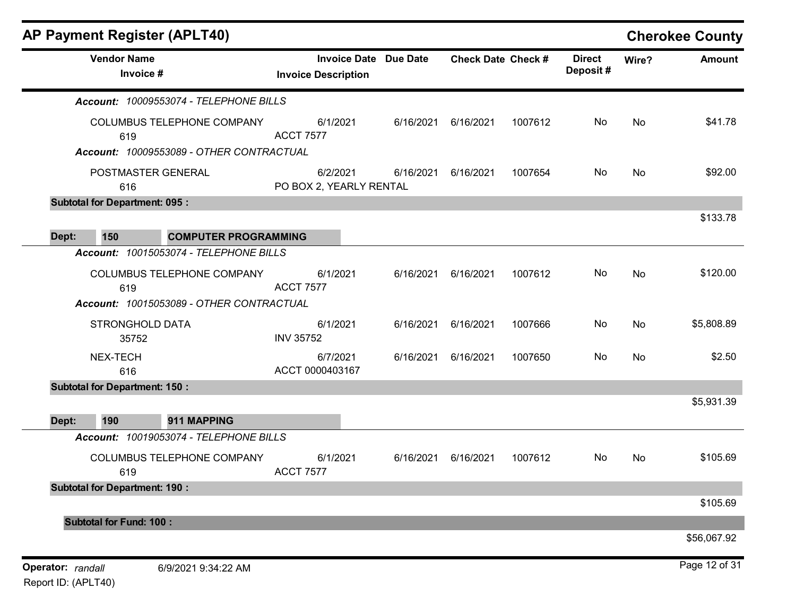| <b>AP Payment Register (APLT40)</b>         |                                                   |                 |                           |         |                           |       | <b>Cherokee County</b> |
|---------------------------------------------|---------------------------------------------------|-----------------|---------------------------|---------|---------------------------|-------|------------------------|
| <b>Vendor Name</b><br>Invoice #             | <b>Invoice Date</b><br><b>Invoice Description</b> | <b>Due Date</b> | <b>Check Date Check #</b> |         | <b>Direct</b><br>Deposit# | Wire? | <b>Amount</b>          |
| Account: 10009553074 - TELEPHONE BILLS      |                                                   |                 |                           |         |                           |       |                        |
| COLUMBUS TELEPHONE COMPANY<br>619           | 6/1/2021<br><b>ACCT 7577</b>                      | 6/16/2021       | 6/16/2021                 | 1007612 | No                        | No    | \$41.78                |
| Account: 10009553089 - OTHER CONTRACTUAL    |                                                   |                 |                           |         |                           |       |                        |
| POSTMASTER GENERAL<br>616                   | 6/2/2021<br>PO BOX 2, YEARLY RENTAL               | 6/16/2021       | 6/16/2021                 | 1007654 | No                        | No    | \$92.00                |
| <b>Subtotal for Department: 095:</b>        |                                                   |                 |                           |         |                           |       |                        |
| 150<br>Dept:<br><b>COMPUTER PROGRAMMING</b> |                                                   |                 |                           |         |                           |       | \$133.78               |
| Account: 10015053074 - TELEPHONE BILLS      |                                                   |                 |                           |         |                           |       |                        |
| COLUMBUS TELEPHONE COMPANY<br>619           | 6/1/2021<br><b>ACCT 7577</b>                      | 6/16/2021       | 6/16/2021                 | 1007612 | No                        | No    | \$120.00               |
| Account: 10015053089 - OTHER CONTRACTUAL    |                                                   |                 |                           |         |                           |       |                        |
| <b>STRONGHOLD DATA</b><br>35752             | 6/1/2021<br><b>INV 35752</b>                      | 6/16/2021       | 6/16/2021                 | 1007666 | No                        | No    | \$5,808.89             |
| NEX-TECH<br>616                             | 6/7/2021<br>ACCT 0000403167                       | 6/16/2021       | 6/16/2021                 | 1007650 | No                        | No    | \$2.50                 |
| <b>Subtotal for Department: 150:</b>        |                                                   |                 |                           |         |                           |       |                        |
| 190<br>911 MAPPING<br>Dept:                 |                                                   |                 |                           |         |                           |       | \$5,931.39             |
| Account: 10019053074 - TELEPHONE BILLS      |                                                   |                 |                           |         |                           |       |                        |
| COLUMBUS TELEPHONE COMPANY<br>619           | 6/1/2021<br><b>ACCT 7577</b>                      | 6/16/2021       | 6/16/2021                 | 1007612 | No                        | No    | \$105.69               |
| <b>Subtotal for Department: 190:</b>        |                                                   |                 |                           |         |                           |       |                        |
|                                             |                                                   |                 |                           |         |                           |       | \$105.69               |
| <b>Subtotal for Fund: 100:</b>              |                                                   |                 |                           |         |                           |       | \$56,067.92            |
| Operator: randall<br>6/9/2021 9:34:22 AM    |                                                   |                 |                           |         |                           |       | Page 12 of 31          |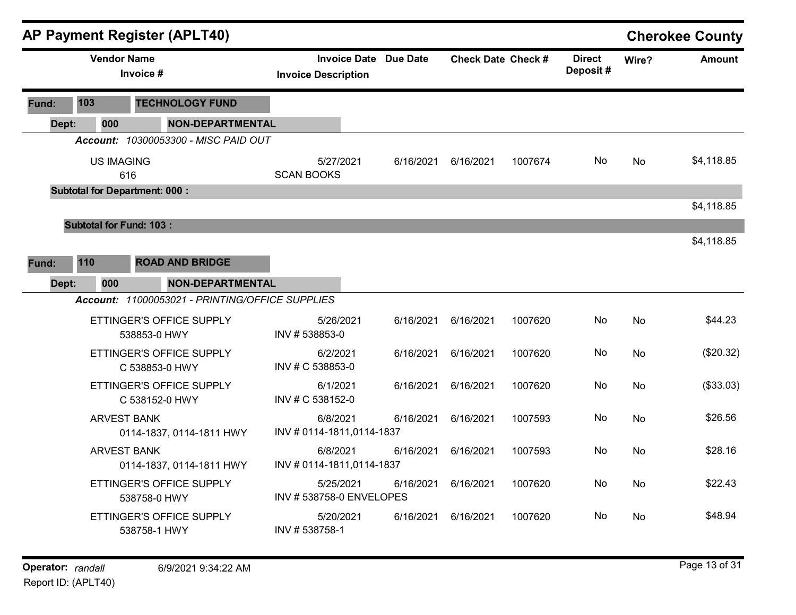|       |                                                |                                      |                                      | <b>AP Payment Register (APLT40)</b>             |                                      |           |                              |                           |           |                           |           | <b>Cherokee County</b> |
|-------|------------------------------------------------|--------------------------------------|--------------------------------------|-------------------------------------------------|--------------------------------------|-----------|------------------------------|---------------------------|-----------|---------------------------|-----------|------------------------|
|       |                                                | <b>Vendor Name</b>                   | Invoice #                            |                                                 | <b>Invoice Description</b>           |           | <b>Invoice Date Due Date</b> | <b>Check Date Check #</b> |           | <b>Direct</b><br>Deposit# | Wire?     | <b>Amount</b>          |
| Fund: | 103                                            |                                      |                                      | <b>TECHNOLOGY FUND</b>                          |                                      |           |                              |                           |           |                           |           |                        |
|       | Dept:                                          | 000                                  |                                      | <b>NON-DEPARTMENTAL</b>                         |                                      |           |                              |                           |           |                           |           |                        |
|       |                                                |                                      |                                      | Account: 10300053300 - MISC PAID OUT            |                                      |           |                              |                           |           |                           |           |                        |
|       |                                                | <b>US IMAGING</b><br>616             |                                      |                                                 | <b>SCAN BOOKS</b>                    | 5/27/2021 | 6/16/2021                    | 6/16/2021                 | 1007674   | No                        | <b>No</b> | \$4,118.85             |
|       |                                                | <b>Subtotal for Department: 000:</b> |                                      |                                                 |                                      |           |                              |                           |           |                           |           |                        |
|       |                                                |                                      |                                      |                                                 |                                      |           |                              |                           |           |                           |           | \$4,118.85             |
|       |                                                | <b>Subtotal for Fund: 103:</b>       |                                      |                                                 |                                      |           |                              |                           |           |                           |           |                        |
|       |                                                |                                      |                                      |                                                 |                                      |           |                              |                           |           |                           |           | \$4,118.85             |
| Fund: | 110                                            |                                      |                                      | <b>ROAD AND BRIDGE</b>                          |                                      |           |                              |                           |           |                           |           |                        |
|       | 000<br><b>NON-DEPARTMENTAL</b><br>Dept:        |                                      |                                      |                                                 |                                      |           |                              |                           |           |                           |           |                        |
|       |                                                |                                      |                                      | Account: 11000053021 - PRINTING/OFFICE SUPPLIES |                                      |           |                              |                           |           |                           |           |                        |
|       |                                                |                                      | 538853-0 HWY                         | ETTINGER'S OFFICE SUPPLY                        | INV #538853-0                        | 5/26/2021 | 6/16/2021                    | 6/16/2021                 | 1007620   | No                        | No        | \$44.23                |
|       |                                                |                                      |                                      | ETTINGER'S OFFICE SUPPLY<br>C 538853-0 HWY      | 6/2/2021<br>INV # C 538853-0         |           | 6/16/2021                    | 6/16/2021                 | 1007620   | No                        | <b>No</b> | (\$20.32)              |
|       |                                                |                                      |                                      | ETTINGER'S OFFICE SUPPLY<br>C 538152-0 HWY      | 6/1/2021<br>INV # C 538152-0         |           | 6/16/2021                    | 6/16/2021                 | 1007620   | No.                       | No        | (\$33.03)              |
|       |                                                | <b>ARVEST BANK</b>                   |                                      | 0114-1837, 0114-1811 HWY                        | 6/8/2021<br>INV #0114-1811,0114-1837 |           | 6/16/2021                    | 6/16/2021                 | 1007593   | No                        | <b>No</b> | \$26.56                |
|       | <b>ARVEST BANK</b><br>0114-1837, 0114-1811 HWY |                                      | 6/8/2021<br>INV #0114-1811,0114-1837 |                                                 | 6/16/2021                            | 6/16/2021 | 1007593                      | No                        | <b>No</b> | \$28.16                   |           |                        |
|       | ETTINGER'S OFFICE SUPPLY<br>538758-0 HWY       |                                      | INV #538758-0 ENVELOPES              | 5/25/2021                                       | 6/16/2021                            | 6/16/2021 | 1007620                      | No.                       | <b>No</b> | \$22.43                   |           |                        |
|       |                                                |                                      | 538758-1 HWY                         | ETTINGER'S OFFICE SUPPLY                        | INV #538758-1                        | 5/20/2021 | 6/16/2021                    | 6/16/2021                 | 1007620   | No                        | No        | \$48.94                |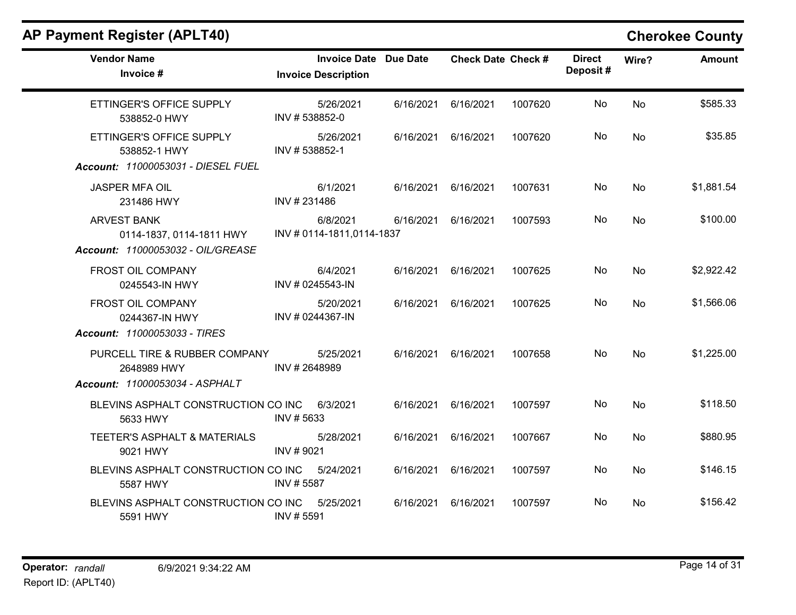| <b>Vendor Name</b><br>Invoice #                                                     | <b>Invoice Date</b><br><b>Invoice Description</b> | <b>Due Date</b> | <b>Check Date Check #</b> |         | <b>Direct</b><br>Deposit# | Wire?     | <b>Amount</b> |
|-------------------------------------------------------------------------------------|---------------------------------------------------|-----------------|---------------------------|---------|---------------------------|-----------|---------------|
| ETTINGER'S OFFICE SUPPLY<br>538852-0 HWY                                            | 5/26/2021<br>INV #538852-0                        | 6/16/2021       | 6/16/2021                 | 1007620 | No                        | No        | \$585.33      |
| ETTINGER'S OFFICE SUPPLY<br>538852-1 HWY<br>Account: 11000053031 - DIESEL FUEL      | 5/26/2021<br>INV #538852-1                        | 6/16/2021       | 6/16/2021                 | 1007620 | No.                       | No.       | \$35.85       |
| JASPER MFA OIL<br>231486 HWY                                                        | 6/1/2021<br>INV #231486                           | 6/16/2021       | 6/16/2021                 | 1007631 | No                        | No        | \$1,881.54    |
| <b>ARVEST BANK</b><br>0114-1837, 0114-1811 HWY<br>Account: 11000053032 - OIL/GREASE | 6/8/2021<br>INV #0114-1811,0114-1837              | 6/16/2021       | 6/16/2021                 | 1007593 | No                        | <b>No</b> | \$100.00      |
| FROST OIL COMPANY<br>0245543-IN HWY                                                 | 6/4/2021<br>INV # 0245543-IN                      | 6/16/2021       | 6/16/2021                 | 1007625 | No                        | No        | \$2,922.42    |
| FROST OIL COMPANY<br>0244367-IN HWY<br>Account: 11000053033 - TIRES                 | 5/20/2021<br>INV # 0244367-IN                     | 6/16/2021       | 6/16/2021                 | 1007625 | No                        | No        | \$1,566.06    |
| PURCELL TIRE & RUBBER COMPANY<br>2648989 HWY<br>Account: 11000053034 - ASPHALT      | 5/25/2021<br>INV #2648989                         | 6/16/2021       | 6/16/2021                 | 1007658 | No                        | No        | \$1,225.00    |
| BLEVINS ASPHALT CONSTRUCTION CO INC<br>5633 HWY                                     | 6/3/2021<br>INV #5633                             | 6/16/2021       | 6/16/2021                 | 1007597 | No                        | <b>No</b> | \$118.50      |
| TEETER'S ASPHALT & MATERIALS<br>9021 HWY                                            | 5/28/2021<br>INV #9021                            | 6/16/2021       | 6/16/2021                 | 1007667 | No                        | No        | \$880.95      |
| BLEVINS ASPHALT CONSTRUCTION CO INC<br>5587 HWY                                     | 5/24/2021<br>INV #5587                            | 6/16/2021       | 6/16/2021                 | 1007597 | No                        | No        | \$146.15      |
| BLEVINS ASPHALT CONSTRUCTION CO INC<br>5591 HWY                                     | 5/25/2021<br>INV #5591                            | 6/16/2021       | 6/16/2021                 | 1007597 | No                        | No.       | \$156.42      |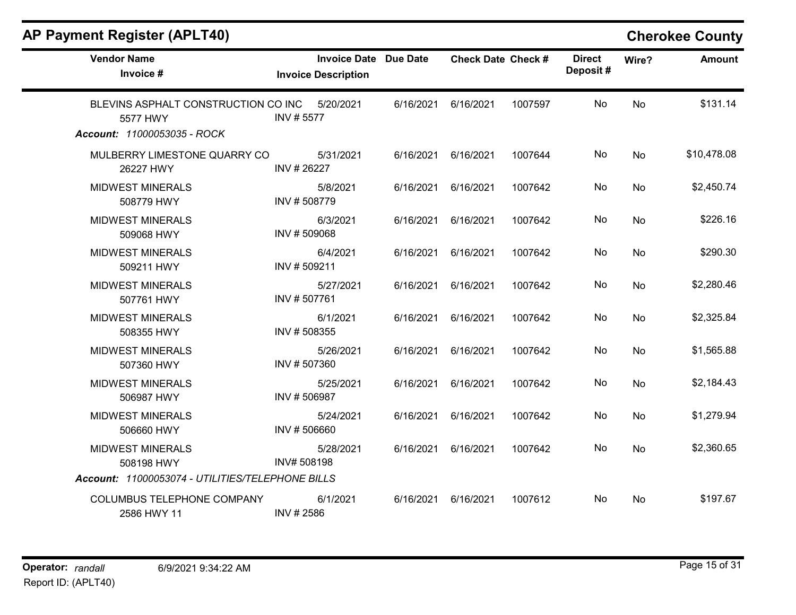| <b>Vendor Name</b><br>Invoice #                                                           | <b>Invoice Date Due Date</b><br><b>Invoice Description</b> |           | <b>Check Date Check #</b> |         | <b>Direct</b><br>Deposit# | Wire?     | <b>Amount</b> |
|-------------------------------------------------------------------------------------------|------------------------------------------------------------|-----------|---------------------------|---------|---------------------------|-----------|---------------|
| BLEVINS ASPHALT CONSTRUCTION CO INC<br>5577 HWY<br>Account: 11000053035 - ROCK            | 5/20/2021<br>INV #5577                                     | 6/16/2021 | 6/16/2021                 | 1007597 | No                        | No        | \$131.14      |
| MULBERRY LIMESTONE QUARRY CO<br>26227 HWY                                                 | 5/31/2021<br>INV #26227                                    | 6/16/2021 | 6/16/2021                 | 1007644 | No                        | <b>No</b> | \$10,478.08   |
| <b>MIDWEST MINERALS</b><br>508779 HWY                                                     | 5/8/2021<br>INV #508779                                    | 6/16/2021 | 6/16/2021                 | 1007642 | No                        | No        | \$2,450.74    |
| <b>MIDWEST MINERALS</b><br>509068 HWY                                                     | 6/3/2021<br>INV #509068                                    | 6/16/2021 | 6/16/2021                 | 1007642 | No                        | <b>No</b> | \$226.16      |
| <b>MIDWEST MINERALS</b><br>509211 HWY                                                     | 6/4/2021<br>INV #509211                                    | 6/16/2021 | 6/16/2021                 | 1007642 | No                        | No        | \$290.30      |
| <b>MIDWEST MINERALS</b><br>507761 HWY                                                     | 5/27/2021<br>INV #507761                                   | 6/16/2021 | 6/16/2021                 | 1007642 | No                        | <b>No</b> | \$2,280.46    |
| <b>MIDWEST MINERALS</b><br>508355 HWY                                                     | 6/1/2021<br>INV #508355                                    | 6/16/2021 | 6/16/2021                 | 1007642 | No                        | <b>No</b> | \$2,325.84    |
| <b>MIDWEST MINERALS</b><br>507360 HWY                                                     | 5/26/2021<br>INV #507360                                   | 6/16/2021 | 6/16/2021                 | 1007642 | No                        | No        | \$1,565.88    |
| <b>MIDWEST MINERALS</b><br>506987 HWY                                                     | 5/25/2021<br>INV #506987                                   | 6/16/2021 | 6/16/2021                 | 1007642 | No                        | <b>No</b> | \$2,184.43    |
| <b>MIDWEST MINERALS</b><br>506660 HWY                                                     | 5/24/2021<br>INV #506660                                   | 6/16/2021 | 6/16/2021                 | 1007642 | No                        | No        | \$1,279.94    |
| <b>MIDWEST MINERALS</b><br>508198 HWY<br>Account: 11000053074 - UTILITIES/TELEPHONE BILLS | 5/28/2021<br>INV# 508198                                   | 6/16/2021 | 6/16/2021                 | 1007642 | No                        | No        | \$2,360.65    |
| COLUMBUS TELEPHONE COMPANY<br>2586 HWY 11                                                 | 6/1/2021<br>INV #2586                                      | 6/16/2021 | 6/16/2021                 | 1007612 | No                        | No        | \$197.67      |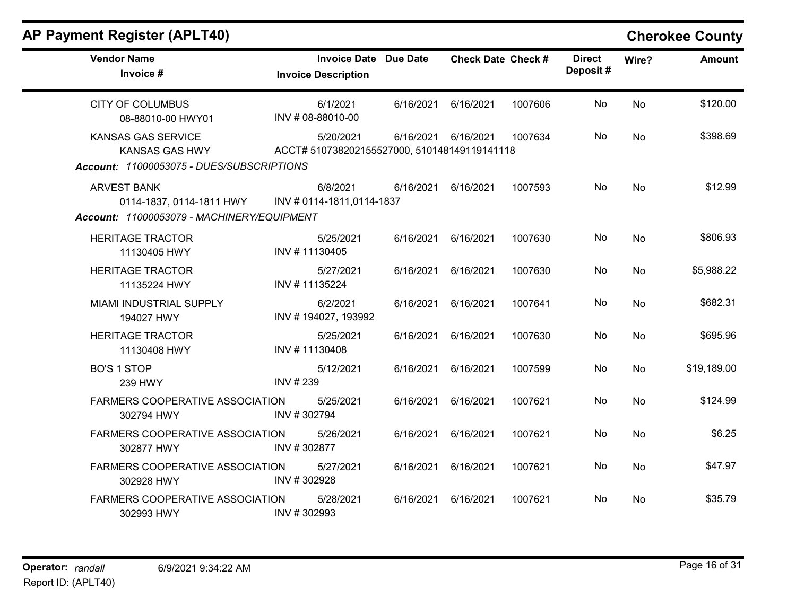| <b>Vendor Name</b><br>Invoice #                                                                 | <b>Invoice Date Due Date</b><br><b>Invoice Description</b> |           | <b>Check Date Check #</b> |         | <b>Direct</b><br>Deposit# | Wire?     | <b>Amount</b> |
|-------------------------------------------------------------------------------------------------|------------------------------------------------------------|-----------|---------------------------|---------|---------------------------|-----------|---------------|
| <b>CITY OF COLUMBUS</b><br>08-88010-00 HWY01                                                    | 6/1/2021<br>INV # 08-88010-00                              | 6/16/2021 | 6/16/2021                 | 1007606 | No                        | No        | \$120.00      |
| <b>KANSAS GAS SERVICE</b><br><b>KANSAS GAS HWY</b><br>Account: 11000053075 - DUES/SUBSCRIPTIONS | 5/20/2021<br>ACCT# 510738202155527000, 510148149119141118  | 6/16/2021 | 6/16/2021                 | 1007634 | No.                       | <b>No</b> | \$398.69      |
| <b>ARVEST BANK</b><br>0114-1837, 0114-1811 HWY<br>Account: 11000053079 - MACHINERY/EQUIPMENT    | 6/8/2021<br>INV # 0114-1811,0114-1837                      | 6/16/2021 | 6/16/2021                 | 1007593 | No                        | No        | \$12.99       |
| <b>HERITAGE TRACTOR</b><br>11130405 HWY                                                         | 5/25/2021<br>INV #11130405                                 | 6/16/2021 | 6/16/2021                 | 1007630 | No                        | <b>No</b> | \$806.93      |
| <b>HERITAGE TRACTOR</b><br>11135224 HWY                                                         | 5/27/2021<br>INV #11135224                                 | 6/16/2021 | 6/16/2021                 | 1007630 | No                        | <b>No</b> | \$5,988.22    |
| <b>MIAMI INDUSTRIAL SUPPLY</b><br>194027 HWY                                                    | 6/2/2021<br>INV #194027, 193992                            | 6/16/2021 | 6/16/2021                 | 1007641 | No                        | No        | \$682.31      |
| <b>HERITAGE TRACTOR</b><br>11130408 HWY                                                         | 5/25/2021<br>INV #11130408                                 | 6/16/2021 | 6/16/2021                 | 1007630 | No                        | <b>No</b> | \$695.96      |
| <b>BO'S 1 STOP</b><br>239 HWY                                                                   | 5/12/2021<br>INV # 239                                     | 6/16/2021 | 6/16/2021                 | 1007599 | No                        | <b>No</b> | \$19,189.00   |
| FARMERS COOPERATIVE ASSOCIATION<br>302794 HWY                                                   | 5/25/2021<br>INV #302794                                   | 6/16/2021 | 6/16/2021                 | 1007621 | No                        | No        | \$124.99      |
| FARMERS COOPERATIVE ASSOCIATION<br>302877 HWY                                                   | 5/26/2021<br>INV #302877                                   | 6/16/2021 | 6/16/2021                 | 1007621 | <b>No</b>                 | No        | \$6.25        |
| <b>FARMERS COOPERATIVE ASSOCIATION</b><br>302928 HWY                                            | 5/27/2021<br>INV #302928                                   | 6/16/2021 | 6/16/2021                 | 1007621 | No                        | No        | \$47.97       |
| FARMERS COOPERATIVE ASSOCIATION<br>302993 HWY                                                   | 5/28/2021<br>INV #302993                                   | 6/16/2021 | 6/16/2021                 | 1007621 | No.                       | No        | \$35.79       |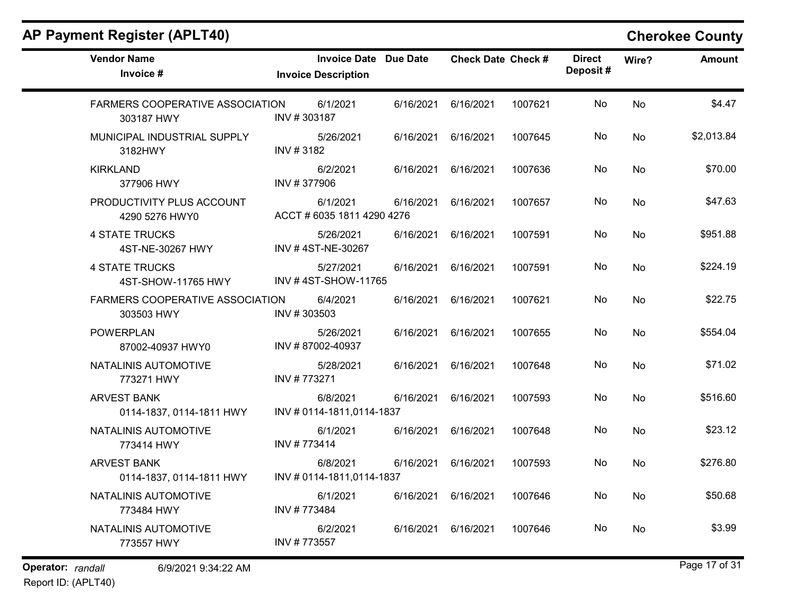| <b>Vendor Name</b><br>Invoice #                      | <b>Invoice Date Due Date</b><br><b>Invoice Description</b> |           | <b>Check Date Check #</b> |         | <b>Direct</b><br>Deposit# | Wire?     | <b>Amount</b> |
|------------------------------------------------------|------------------------------------------------------------|-----------|---------------------------|---------|---------------------------|-----------|---------------|
| <b>FARMERS COOPERATIVE ASSOCIATION</b><br>303187 HWY | 6/1/2021<br>INV #303187                                    | 6/16/2021 | 6/16/2021                 | 1007621 | No                        | No        | \$4.47        |
| MUNICIPAL INDUSTRIAL SUPPLY<br>3182HWY               | 5/26/2021<br>INV #3182                                     | 6/16/2021 | 6/16/2021                 | 1007645 | No                        | No        | \$2,013.84    |
| <b>KIRKLAND</b><br>377906 HWY                        | 6/2/2021<br>INV #377906                                    | 6/16/2021 | 6/16/2021                 | 1007636 | No                        | No        | \$70.00       |
| PRODUCTIVITY PLUS ACCOUNT<br>4290 5276 HWY0          | 6/1/2021<br>ACCT # 6035 1811 4290 4276                     | 6/16/2021 | 6/16/2021                 | 1007657 | No                        | <b>No</b> | \$47.63       |
| <b>4 STATE TRUCKS</b><br>4ST-NE-30267 HWY            | 5/26/2021<br>INV #4ST-NE-30267                             | 6/16/2021 | 6/16/2021                 | 1007591 | No                        | No        | \$951.88      |
| <b>4 STATE TRUCKS</b><br>4ST-SHOW-11765 HWY          | 5/27/2021<br>INV #4ST-SHOW-11765                           | 6/16/2021 | 6/16/2021                 | 1007591 | No                        | No        | \$224.19      |
| <b>FARMERS COOPERATIVE ASSOCIATION</b><br>303503 HWY | 6/4/2021<br>INV #303503                                    | 6/16/2021 | 6/16/2021                 | 1007621 | No                        | <b>No</b> | \$22.75       |
| <b>POWERPLAN</b><br>87002-40937 HWY0                 | 5/26/2021<br>INV #87002-40937                              | 6/16/2021 | 6/16/2021                 | 1007655 | No                        | No        | \$554.04      |
| NATALINIS AUTOMOTIVE<br>773271 HWY                   | 5/28/2021<br>INV #773271                                   | 6/16/2021 | 6/16/2021                 | 1007648 | No                        | No        | \$71.02       |
| <b>ARVEST BANK</b><br>0114-1837, 0114-1811 HWY       | 6/8/2021<br>INV #0114-1811,0114-1837                       | 6/16/2021 | 6/16/2021                 | 1007593 | No                        | No        | \$516.60      |
| NATALINIS AUTOMOTIVE<br>773414 HWY                   | 6/1/2021<br>INV #773414                                    | 6/16/2021 | 6/16/2021                 | 1007648 | No                        | No        | \$23.12       |
| <b>ARVEST BANK</b><br>0114-1837, 0114-1811 HWY       | 6/8/2021<br>INV # 0114-1811,0114-1837                      | 6/16/2021 | 6/16/2021                 | 1007593 | No                        | No        | \$276.80      |
| NATALINIS AUTOMOTIVE<br>773484 HWY                   | 6/1/2021<br>INV #773484                                    | 6/16/2021 | 6/16/2021                 | 1007646 | No                        | No        | \$50.68       |
| NATALINIS AUTOMOTIVE<br>773557 HWY                   | 6/2/2021<br>INV #773557                                    | 6/16/2021 | 6/16/2021                 | 1007646 | No                        | No        | \$3.99        |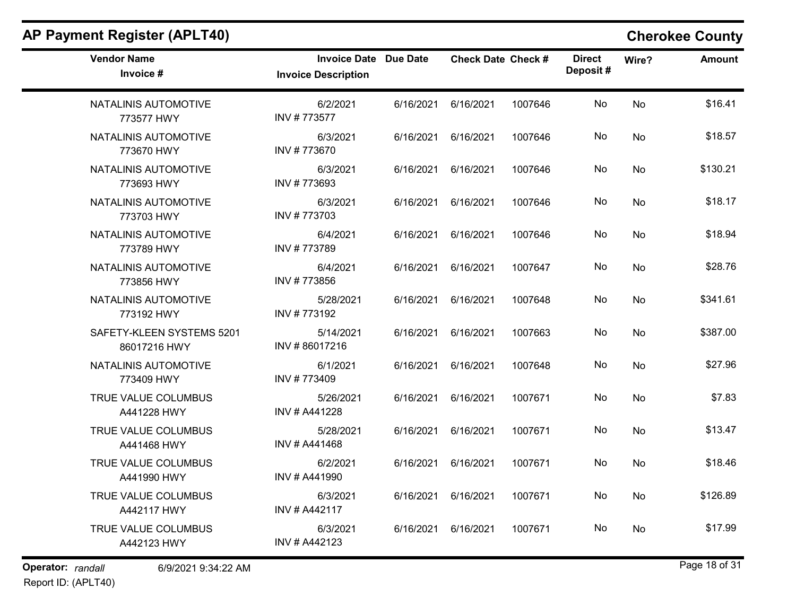| <b>Vendor Name</b><br>Invoice #           | <b>Invoice Date Due Date</b><br><b>Invoice Description</b> |           | <b>Check Date Check #</b> |         | <b>Direct</b><br>Deposit# | Wire?     | <b>Amount</b> |
|-------------------------------------------|------------------------------------------------------------|-----------|---------------------------|---------|---------------------------|-----------|---------------|
| NATALINIS AUTOMOTIVE<br>773577 HWY        | 6/2/2021<br>INV #773577                                    | 6/16/2021 | 6/16/2021                 | 1007646 | No                        | <b>No</b> | \$16.41       |
| NATALINIS AUTOMOTIVE<br>773670 HWY        | 6/3/2021<br>INV #773670                                    | 6/16/2021 | 6/16/2021                 | 1007646 | No                        | <b>No</b> | \$18.57       |
| NATALINIS AUTOMOTIVE<br>773693 HWY        | 6/3/2021<br>INV #773693                                    | 6/16/2021 | 6/16/2021                 | 1007646 | No                        | <b>No</b> | \$130.21      |
| NATALINIS AUTOMOTIVE<br>773703 HWY        | 6/3/2021<br>INV #773703                                    | 6/16/2021 | 6/16/2021                 | 1007646 | No                        | No        | \$18.17       |
| NATALINIS AUTOMOTIVE<br>773789 HWY        | 6/4/2021<br>INV #773789                                    | 6/16/2021 | 6/16/2021                 | 1007646 | No                        | No        | \$18.94       |
| NATALINIS AUTOMOTIVE<br>773856 HWY        | 6/4/2021<br>INV #773856                                    | 6/16/2021 | 6/16/2021                 | 1007647 | No                        | No        | \$28.76       |
| NATALINIS AUTOMOTIVE<br>773192 HWY        | 5/28/2021<br>INV #773192                                   | 6/16/2021 | 6/16/2021                 | 1007648 | No                        | No        | \$341.61      |
| SAFETY-KLEEN SYSTEMS 5201<br>86017216 HWY | 5/14/2021<br>INV #86017216                                 | 6/16/2021 | 6/16/2021                 | 1007663 | No                        | <b>No</b> | \$387.00      |
| NATALINIS AUTOMOTIVE<br>773409 HWY        | 6/1/2021<br>INV #773409                                    | 6/16/2021 | 6/16/2021                 | 1007648 | No                        | No        | \$27.96       |
| TRUE VALUE COLUMBUS<br>A441228 HWY        | 5/26/2021<br>INV # A441228                                 | 6/16/2021 | 6/16/2021                 | 1007671 | No                        | <b>No</b> | \$7.83        |
| TRUE VALUE COLUMBUS<br>A441468 HWY        | 5/28/2021<br>INV # A441468                                 | 6/16/2021 | 6/16/2021                 | 1007671 | No                        | No        | \$13.47       |
| TRUE VALUE COLUMBUS<br>A441990 HWY        | 6/2/2021<br>INV # A441990                                  | 6/16/2021 | 6/16/2021                 | 1007671 | No                        | <b>No</b> | \$18.46       |
| TRUE VALUE COLUMBUS<br>A442117 HWY        | 6/3/2021<br>INV # A442117                                  | 6/16/2021 | 6/16/2021                 | 1007671 | No                        | No        | \$126.89      |
| TRUE VALUE COLUMBUS<br>A442123 HWY        | 6/3/2021<br>INV # A442123                                  | 6/16/2021 | 6/16/2021                 | 1007671 | No                        | <b>No</b> | \$17.99       |

Operator: randall 6/9/2021 9:34:22 AM example of 31 random Page 18 of 31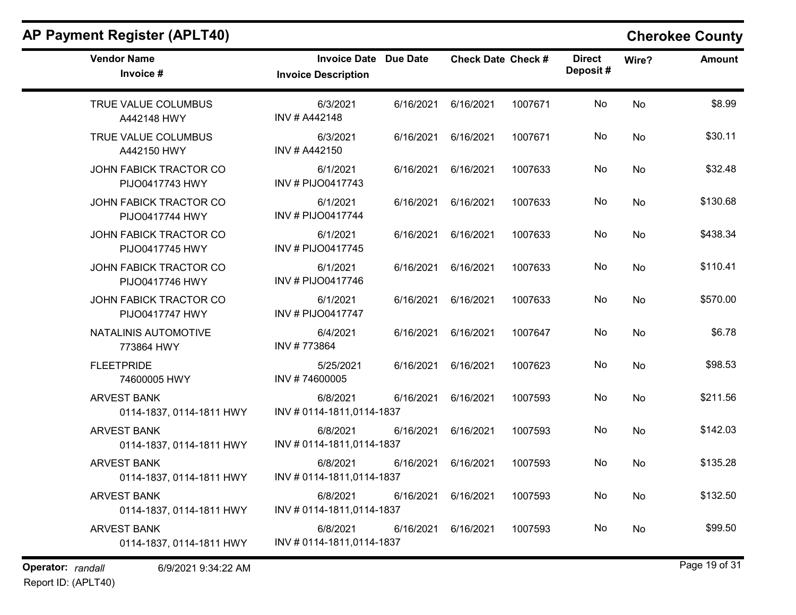| <b>Vendor Name</b><br>Invoice #                | <b>Invoice Date Due Date</b><br><b>Invoice Description</b> | <b>Check Date Check #</b> |         | <b>Direct</b><br>Deposit# | Wire?     | <b>Amount</b> |
|------------------------------------------------|------------------------------------------------------------|---------------------------|---------|---------------------------|-----------|---------------|
| TRUE VALUE COLUMBUS<br>A442148 HWY             | 6/3/2021<br>INV # A442148                                  | 6/16/2021<br>6/16/2021    | 1007671 | No                        | No        | \$8.99        |
| TRUE VALUE COLUMBUS<br>A442150 HWY             | 6/3/2021<br>INV # A442150                                  | 6/16/2021<br>6/16/2021    | 1007671 | No                        | No        | \$30.11       |
| JOHN FABICK TRACTOR CO<br>PIJO0417743 HWY      | 6/1/2021<br>INV # PIJO0417743                              | 6/16/2021<br>6/16/2021    | 1007633 | No                        | No        | \$32.48       |
| JOHN FABICK TRACTOR CO<br>PIJO0417744 HWY      | 6/1/2021<br>INV # PIJO0417744                              | 6/16/2021<br>6/16/2021    | 1007633 | No                        | No        | \$130.68      |
| JOHN FABICK TRACTOR CO<br>PIJO0417745 HWY      | 6/1/2021<br><b>INV # PIJO0417745</b>                       | 6/16/2021<br>6/16/2021    | 1007633 | No                        | No        | \$438.34      |
| JOHN FABICK TRACTOR CO<br>PIJO0417746 HWY      | 6/1/2021<br>INV # PIJO0417746                              | 6/16/2021<br>6/16/2021    | 1007633 | No                        | No        | \$110.41      |
| JOHN FABICK TRACTOR CO<br>PIJO0417747 HWY      | 6/1/2021<br>INV # PIJO0417747                              | 6/16/2021<br>6/16/2021    | 1007633 | No                        | No        | \$570.00      |
| NATALINIS AUTOMOTIVE<br>773864 HWY             | 6/4/2021<br>INV #773864                                    | 6/16/2021<br>6/16/2021    | 1007647 | No                        | No        | \$6.78        |
| <b>FLEETPRIDE</b><br>74600005 HWY              | 5/25/2021<br>INV #74600005                                 | 6/16/2021<br>6/16/2021    | 1007623 | No                        | No        | \$98.53       |
| <b>ARVEST BANK</b><br>0114-1837, 0114-1811 HWY | 6/8/2021<br>INV # 0114-1811,0114-1837                      | 6/16/2021<br>6/16/2021    | 1007593 | No                        | <b>No</b> | \$211.56      |
| <b>ARVEST BANK</b><br>0114-1837, 0114-1811 HWY | 6/8/2021<br>INV # 0114-1811,0114-1837                      | 6/16/2021<br>6/16/2021    | 1007593 | No                        | No        | \$142.03      |
| <b>ARVEST BANK</b><br>0114-1837, 0114-1811 HWY | 6/8/2021<br>INV # 0114-1811,0114-1837                      | 6/16/2021<br>6/16/2021    | 1007593 | No                        | No        | \$135.28      |
| <b>ARVEST BANK</b><br>0114-1837, 0114-1811 HWY | 6/8/2021<br>INV # 0114-1811,0114-1837                      | 6/16/2021<br>6/16/2021    | 1007593 | No                        | No        | \$132.50      |
| <b>ARVEST BANK</b><br>0114-1837, 0114-1811 HWY | 6/8/2021<br>INV # 0114-1811,0114-1837                      | 6/16/2021<br>6/16/2021    | 1007593 | No                        | No        | \$99.50       |
| Operator: randall<br>6/9/2021 9:34:22 AM       |                                                            |                           |         |                           |           | Page 19 of 31 |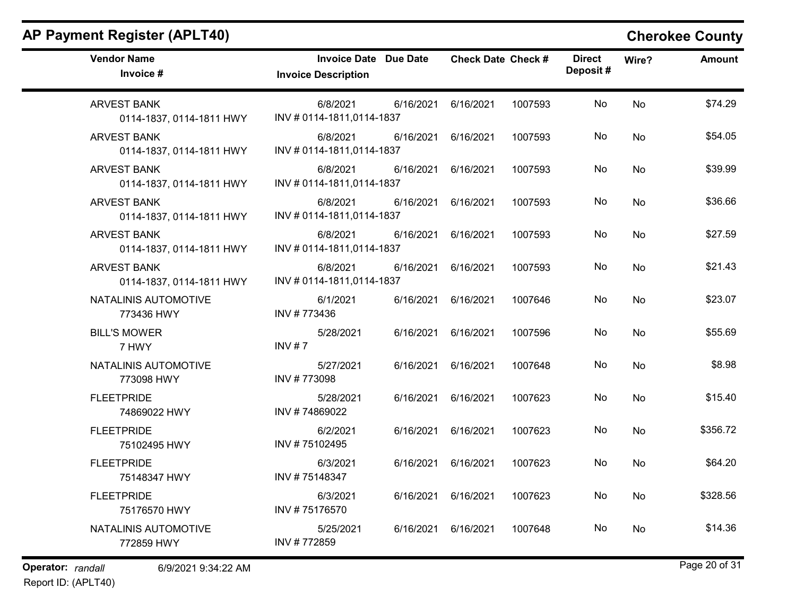$\overline{\phantom{0}}$ 

| <b>Vendor Name</b><br>Invoice #                | <b>Invoice Date Due Date</b><br><b>Invoice Description</b> | <b>Check Date Check #</b> | <b>Direct</b><br>Deposit# | Wire?     | <b>Amount</b> |
|------------------------------------------------|------------------------------------------------------------|---------------------------|---------------------------|-----------|---------------|
| <b>ARVEST BANK</b><br>0114-1837, 0114-1811 HWY | 6/8/2021<br>6/16/2021<br>INV #0114-1811,0114-1837          | 6/16/2021<br>1007593      | No                        | No        | \$74.29       |
| <b>ARVEST BANK</b><br>0114-1837, 0114-1811 HWY | 6/8/2021<br>6/16/2021<br>INV #0114-1811,0114-1837          | 1007593<br>6/16/2021      | No                        | No        | \$54.05       |
| <b>ARVEST BANK</b><br>0114-1837, 0114-1811 HWY | 6/8/2021<br>6/16/2021<br>INV # 0114-1811,0114-1837         | 6/16/2021<br>1007593      | No                        | No        | \$39.99       |
| <b>ARVEST BANK</b><br>0114-1837, 0114-1811 HWY | 6/8/2021<br>6/16/2021<br>INV # 0114-1811,0114-1837         | 1007593<br>6/16/2021      | No                        | No        | \$36.66       |
| <b>ARVEST BANK</b><br>0114-1837, 0114-1811 HWY | 6/8/2021<br>6/16/2021<br>INV # 0114-1811,0114-1837         | 6/16/2021<br>1007593      | No                        | No        | \$27.59       |
| <b>ARVEST BANK</b><br>0114-1837, 0114-1811 HWY | 6/8/2021<br>6/16/2021<br>INV # 0114-1811,0114-1837         | 6/16/2021<br>1007593      | No                        | No        | \$21.43       |
| NATALINIS AUTOMOTIVE<br>773436 HWY             | 6/1/2021<br>6/16/2021<br>INV #773436                       | 6/16/2021<br>1007646      | No                        | No        | \$23.07       |
| <b>BILL'S MOWER</b><br>7 HWY                   | 5/28/2021<br>6/16/2021<br>INV # 7                          | 6/16/2021<br>1007596      | No                        | No        | \$55.69       |
| NATALINIS AUTOMOTIVE<br>773098 HWY             | 5/27/2021<br>6/16/2021<br>INV #773098                      | 6/16/2021<br>1007648      | No                        | No        | \$8.98        |
| <b>FLEETPRIDE</b><br>74869022 HWY              | 6/16/2021<br>5/28/2021<br>INV #74869022                    | 6/16/2021<br>1007623      | No                        | <b>No</b> | \$15.40       |
| <b>FLEETPRIDE</b><br>75102495 HWY              | 6/2/2021<br>6/16/2021<br>INV #75102495                     | 6/16/2021<br>1007623      | No                        | No        | \$356.72      |
| <b>FLEETPRIDE</b><br>75148347 HWY              | 6/3/2021<br>6/16/2021<br>INV #75148347                     | 6/16/2021<br>1007623      | No                        | <b>No</b> | \$64.20       |
| <b>FLEETPRIDE</b><br>75176570 HWY              | 6/3/2021<br>6/16/2021<br>INV #75176570                     | 6/16/2021<br>1007623      | No                        | No        | \$328.56      |
| NATALINIS AUTOMOTIVE<br>772859 HWY             | 6/16/2021<br>5/25/2021<br>INV #772859                      | 6/16/2021<br>1007648      | No                        | No        | \$14.36       |

Operator: randall 6/9/2021 9:34:22 AM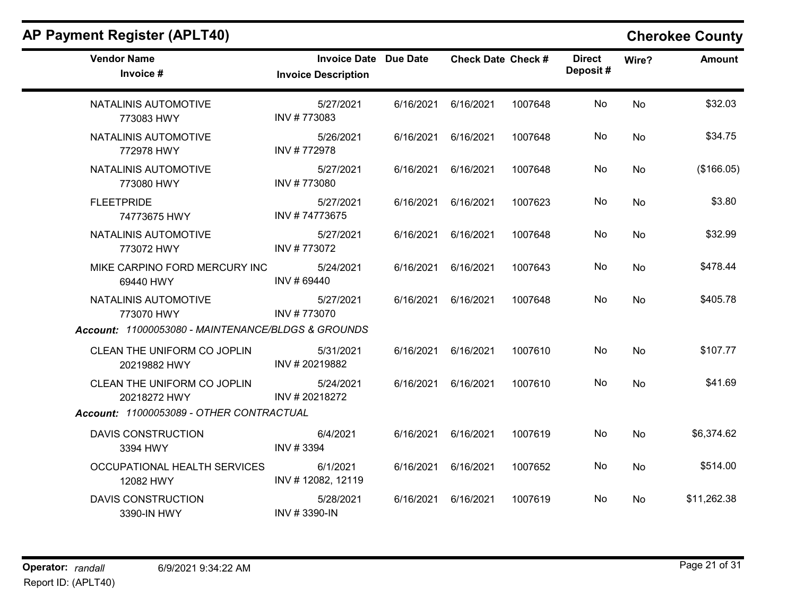| <b>Vendor Name</b><br>Invoice #                    | <b>Invoice Date Due Date</b><br><b>Invoice Description</b> |           | <b>Check Date Check #</b> |         | <b>Direct</b><br>Deposit# | Wire?     | <b>Amount</b> |
|----------------------------------------------------|------------------------------------------------------------|-----------|---------------------------|---------|---------------------------|-----------|---------------|
| NATALINIS AUTOMOTIVE<br>773083 HWY                 | 5/27/2021<br>INV #773083                                   | 6/16/2021 | 6/16/2021                 | 1007648 | No                        | <b>No</b> | \$32.03       |
| NATALINIS AUTOMOTIVE<br>772978 HWY                 | 5/26/2021<br>INV #772978                                   | 6/16/2021 | 6/16/2021                 | 1007648 | No.                       | No.       | \$34.75       |
| NATALINIS AUTOMOTIVE<br>773080 HWY                 | 5/27/2021<br>INV #773080                                   | 6/16/2021 | 6/16/2021                 | 1007648 | No.                       | <b>No</b> | (\$166.05)    |
| <b>FLEETPRIDE</b><br>74773675 HWY                  | 5/27/2021<br>INV #74773675                                 | 6/16/2021 | 6/16/2021                 | 1007623 | No                        | No        | \$3.80        |
| NATALINIS AUTOMOTIVE<br>773072 HWY                 | 5/27/2021<br>INV #773072                                   | 6/16/2021 | 6/16/2021                 | 1007648 | No.                       | <b>No</b> | \$32.99       |
| MIKE CARPINO FORD MERCURY INC<br>69440 HWY         | 5/24/2021<br>INV #69440                                    | 6/16/2021 | 6/16/2021                 | 1007643 | No.                       | No        | \$478.44      |
| NATALINIS AUTOMOTIVE<br>773070 HWY                 | 5/27/2021<br>INV #773070                                   | 6/16/2021 | 6/16/2021                 | 1007648 | No.                       | <b>No</b> | \$405.78      |
| Account: 11000053080 - MAINTENANCE/BLDGS & GROUNDS |                                                            |           |                           |         |                           |           |               |
| CLEAN THE UNIFORM CO JOPLIN<br>20219882 HWY        | 5/31/2021<br>INV #20219882                                 | 6/16/2021 | 6/16/2021                 | 1007610 | No                        | <b>No</b> | \$107.77      |
| CLEAN THE UNIFORM CO JOPLIN<br>20218272 HWY        | 5/24/2021<br>INV #20218272                                 | 6/16/2021 | 6/16/2021                 | 1007610 | No                        | <b>No</b> | \$41.69       |
| Account: 11000053089 - OTHER CONTRACTUAL           |                                                            |           |                           |         |                           |           |               |
| <b>DAVIS CONSTRUCTION</b><br>3394 HWY              | 6/4/2021<br>INV #3394                                      | 6/16/2021 | 6/16/2021                 | 1007619 | No                        | No        | \$6,374.62    |
| OCCUPATIONAL HEALTH SERVICES<br>12082 HWY          | 6/1/2021<br>INV #12082, 12119                              | 6/16/2021 | 6/16/2021                 | 1007652 | No                        | <b>No</b> | \$514.00      |
| <b>DAVIS CONSTRUCTION</b><br>3390-IN HWY           | 5/28/2021<br>INV #3390-IN                                  | 6/16/2021 | 6/16/2021                 | 1007619 | No.                       | No.       | \$11,262.38   |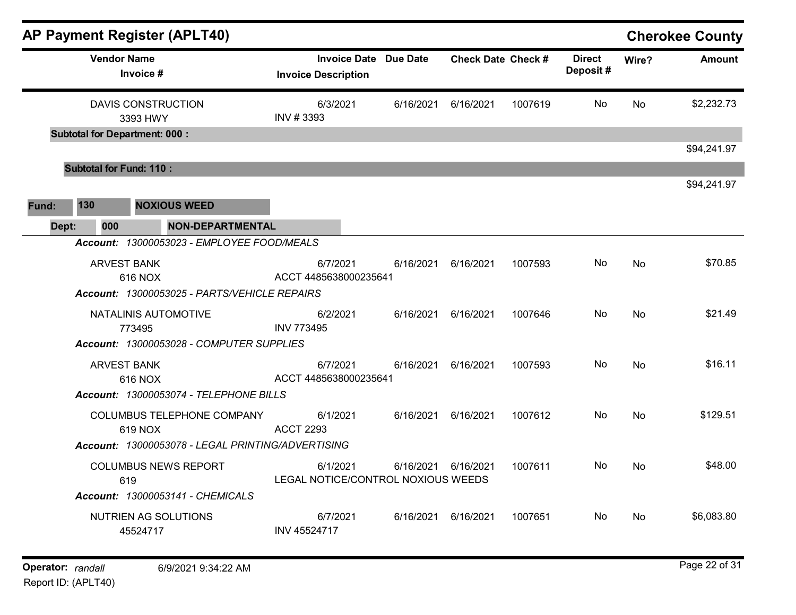| <b>AP Payment Register (APLT40)</b>                                            |                                   |                                                 |                           |         |                           |           | <b>Cherokee County</b> |
|--------------------------------------------------------------------------------|-----------------------------------|-------------------------------------------------|---------------------------|---------|---------------------------|-----------|------------------------|
| <b>Vendor Name</b><br>Invoice #                                                | <b>Invoice Description</b>        | <b>Invoice Date Due Date</b>                    | <b>Check Date Check #</b> |         | <b>Direct</b><br>Deposit# | Wire?     | <b>Amount</b>          |
| <b>DAVIS CONSTRUCTION</b><br>3393 HWY<br><b>Subtotal for Department: 000:</b>  | 6/3/2021<br>INV #3393             | 6/16/2021                                       | 6/16/2021                 | 1007619 | No.                       | No        | \$2,232.73             |
|                                                                                |                                   |                                                 |                           |         |                           |           | \$94,241.97            |
| <b>Subtotal for Fund: 110:</b>                                                 |                                   |                                                 |                           |         |                           |           |                        |
| 130<br><b>NOXIOUS WEED</b><br>Fund:<br><b>NON-DEPARTMENTAL</b><br>Dept:<br>000 |                                   |                                                 |                           |         |                           |           | \$94,241.97            |
| Account: 13000053023 - EMPLOYEE FOOD/MEALS                                     |                                   |                                                 |                           |         |                           |           |                        |
| <b>ARVEST BANK</b><br>616 NOX                                                  | 6/7/2021<br>ACCT 4485638000235641 | 6/16/2021                                       | 6/16/2021                 | 1007593 | No.                       | No        | \$70.85                |
| Account: 13000053025 - PARTS/VEHICLE REPAIRS                                   |                                   |                                                 |                           |         |                           |           |                        |
| NATALINIS AUTOMOTIVE<br>773495                                                 | 6/2/2021<br><b>INV 773495</b>     | 6/16/2021                                       | 6/16/2021                 | 1007646 | No.                       | <b>No</b> | \$21.49                |
| Account: 13000053028 - COMPUTER SUPPLIES                                       |                                   |                                                 |                           |         |                           |           |                        |
| <b>ARVEST BANK</b><br>616 NOX                                                  | 6/7/2021<br>ACCT 4485638000235641 | 6/16/2021                                       | 6/16/2021                 | 1007593 | No                        | <b>No</b> | \$16.11                |
| Account: 13000053074 - TELEPHONE BILLS                                         |                                   |                                                 |                           |         |                           |           |                        |
| COLUMBUS TELEPHONE COMPANY<br>619 NOX                                          | 6/1/2021<br><b>ACCT 2293</b>      | 6/16/2021                                       | 6/16/2021                 | 1007612 | No.                       | <b>No</b> | \$129.51               |
| Account: 13000053078 - LEGAL PRINTING/ADVERTISING                              |                                   |                                                 |                           |         |                           |           |                        |
| <b>COLUMBUS NEWS REPORT</b><br>619                                             | 6/1/2021                          | 6/16/2021<br>LEGAL NOTICE/CONTROL NOXIOUS WEEDS | 6/16/2021                 | 1007611 | No.                       | No        | \$48.00                |
| <b>Account: 13000053141 - CHEMICALS</b>                                        |                                   |                                                 |                           |         |                           |           |                        |
| NUTRIEN AG SOLUTIONS<br>45524717                                               | 6/7/2021<br>INV 45524717          | 6/16/2021                                       | 6/16/2021                 | 1007651 | No.                       | No        | \$6,083.80             |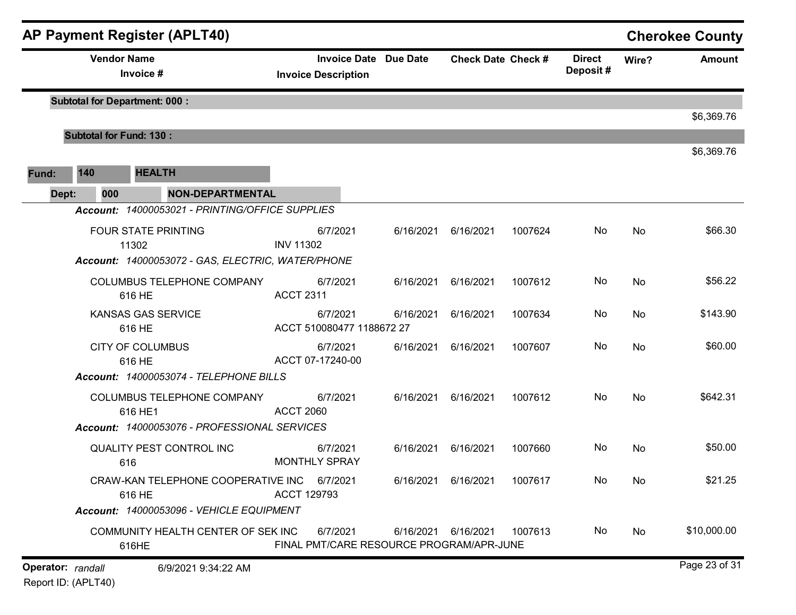|       |                                | <b>AP Payment Register (APLT40)</b>                                                      |                                                            |           |                           |         |                           |       | <b>Cherokee County</b> |
|-------|--------------------------------|------------------------------------------------------------------------------------------|------------------------------------------------------------|-----------|---------------------------|---------|---------------------------|-------|------------------------|
|       |                                | <b>Vendor Name</b><br>Invoice #                                                          | <b>Invoice Date Due Date</b><br><b>Invoice Description</b> |           | <b>Check Date Check #</b> |         | <b>Direct</b><br>Deposit# | Wire? | <b>Amount</b>          |
|       |                                | <b>Subtotal for Department: 000:</b>                                                     |                                                            |           |                           |         |                           |       | \$6,369.76             |
|       | <b>Subtotal for Fund: 130:</b> |                                                                                          |                                                            |           |                           |         |                           |       |                        |
|       | 140                            | <b>HEALTH</b>                                                                            |                                                            |           |                           |         |                           |       | \$6,369.76             |
| Fund: |                                |                                                                                          |                                                            |           |                           |         |                           |       |                        |
| Dept: | 000                            | <b>NON-DEPARTMENTAL</b><br>Account: 14000053021 - PRINTING/OFFICE SUPPLIES               |                                                            |           |                           |         |                           |       |                        |
|       |                                | <b>FOUR STATE PRINTING</b><br>11302<br>Account: 14000053072 - GAS, ELECTRIC, WATER/PHONE | 6/7/2021<br><b>INV 11302</b>                               | 6/16/2021 | 6/16/2021                 | 1007624 | No                        | No    | \$66.30                |
|       |                                | COLUMBUS TELEPHONE COMPANY<br>616 HE                                                     | 6/7/2021<br><b>ACCT 2311</b>                               | 6/16/2021 | 6/16/2021                 | 1007612 | No                        | No    | \$56.22                |
|       |                                | <b>KANSAS GAS SERVICE</b><br>616 HE                                                      | 6/7/2021<br>ACCT 510080477 1188672 27                      | 6/16/2021 | 6/16/2021                 | 1007634 | No                        | No    | \$143.90               |
|       |                                | <b>CITY OF COLUMBUS</b><br>616 HE                                                        | 6/7/2021<br>ACCT 07-17240-00                               | 6/16/2021 | 6/16/2021                 | 1007607 | No                        | No    | \$60.00                |
|       |                                | Account: 14000053074 - TELEPHONE BILLS                                                   |                                                            |           |                           |         |                           |       |                        |
|       |                                | COLUMBUS TELEPHONE COMPANY<br>616 HE1                                                    | 6/7/2021<br><b>ACCT 2060</b>                               | 6/16/2021 | 6/16/2021                 | 1007612 | No                        | No    | \$642.31               |
|       |                                | Account: 14000053076 - PROFESSIONAL SERVICES                                             |                                                            |           |                           |         |                           |       |                        |
|       |                                | <b>QUALITY PEST CONTROL INC</b><br>616                                                   | 6/7/2021<br><b>MONTHLY SPRAY</b>                           | 6/16/2021 | 6/16/2021                 | 1007660 | No                        | No    | \$50.00                |
|       |                                | CRAW-KAN TELEPHONE COOPERATIVE INC 6/7/2021<br>616 HE                                    | <b>ACCT 129793</b>                                         |           | 6/16/2021 6/16/2021       | 1007617 | No.                       | No    | \$21.25                |
|       |                                | Account: 14000053096 - VEHICLE EQUIPMENT                                                 |                                                            |           |                           |         |                           |       |                        |
|       |                                | COMMUNITY HEALTH CENTER OF SEK INC<br>616HE                                              | 6/7/2021<br>FINAL PMT/CARE RESOURCE PROGRAM/APR-JUNE       |           | 6/16/2021 6/16/2021       | 1007613 | No                        | No    | \$10,000.00            |
|       | Operator: randall              | 6/9/2021 9:34:22 AM                                                                      |                                                            |           |                           |         |                           |       | Page 23 of 31          |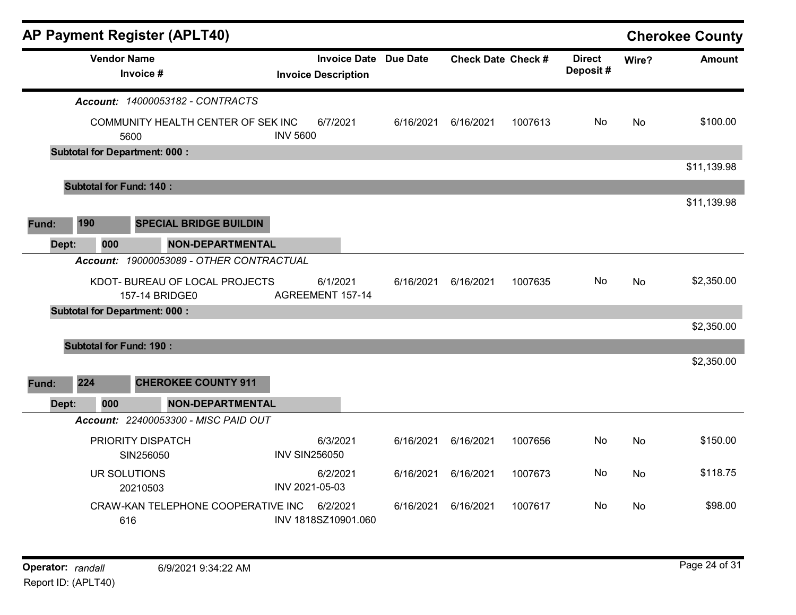|       |     |     | <b>AP Payment Register (APLT40)</b>              |                      |                                                            |           |                           |         |                           |           | <b>Cherokee County</b> |
|-------|-----|-----|--------------------------------------------------|----------------------|------------------------------------------------------------|-----------|---------------------------|---------|---------------------------|-----------|------------------------|
|       |     |     | <b>Vendor Name</b><br>Invoice #                  |                      | <b>Invoice Date Due Date</b><br><b>Invoice Description</b> |           | <b>Check Date Check #</b> |         | <b>Direct</b><br>Deposit# | Wire?     | <b>Amount</b>          |
|       |     |     | Account: 14000053182 - CONTRACTS                 |                      |                                                            |           |                           |         |                           |           |                        |
|       |     |     | COMMUNITY HEALTH CENTER OF SEK INC<br>5600       | <b>INV 5600</b>      | 6/7/2021                                                   | 6/16/2021 | 6/16/2021                 | 1007613 | No                        | <b>No</b> | \$100.00               |
|       |     |     | <b>Subtotal for Department: 000:</b>             |                      |                                                            |           |                           |         |                           |           |                        |
|       |     |     |                                                  |                      |                                                            |           |                           |         |                           |           | \$11,139.98            |
|       |     |     | <b>Subtotal for Fund: 140:</b>                   |                      |                                                            |           |                           |         |                           |           |                        |
|       |     |     |                                                  |                      |                                                            |           |                           |         |                           |           | \$11,139.98            |
| Fund: | 190 |     | <b>SPECIAL BRIDGE BUILDIN</b>                    |                      |                                                            |           |                           |         |                           |           |                        |
| Dept: |     | 000 | <b>NON-DEPARTMENTAL</b>                          |                      |                                                            |           |                           |         |                           |           |                        |
|       |     |     | Account: 19000053089 - OTHER CONTRACTUAL         |                      |                                                            |           |                           |         |                           |           |                        |
|       |     |     | KDOT- BUREAU OF LOCAL PROJECTS<br>157-14 BRIDGE0 |                      | 6/1/2021<br>AGREEMENT 157-14                               | 6/16/2021 | 6/16/2021                 | 1007635 | No.                       | No        | \$2,350.00             |
|       |     |     | <b>Subtotal for Department: 000:</b>             |                      |                                                            |           |                           |         |                           |           |                        |
|       |     |     |                                                  |                      |                                                            |           |                           |         |                           |           | \$2,350.00             |
|       |     |     | <b>Subtotal for Fund: 190:</b>                   |                      |                                                            |           |                           |         |                           |           |                        |
|       |     |     |                                                  |                      |                                                            |           |                           |         |                           |           | \$2,350.00             |
| Fund: | 224 |     | <b>CHEROKEE COUNTY 911</b>                       |                      |                                                            |           |                           |         |                           |           |                        |
| Dept: |     | 000 | <b>NON-DEPARTMENTAL</b>                          |                      |                                                            |           |                           |         |                           |           |                        |
|       |     |     | Account: 22400053300 - MISC PAID OUT             |                      |                                                            |           |                           |         |                           |           |                        |
|       |     |     | PRIORITY DISPATCH                                |                      | 6/3/2021                                                   | 6/16/2021 | 6/16/2021                 | 1007656 | No                        | No        | \$150.00               |
|       |     |     | SIN256050                                        | <b>INV SIN256050</b> |                                                            |           |                           |         |                           |           |                        |
|       |     |     | UR SOLUTIONS<br>20210503                         | INV 2021-05-03       | 6/2/2021                                                   | 6/16/2021 | 6/16/2021                 | 1007673 | No.                       | No        | \$118.75               |
|       |     |     | CRAW-KAN TELEPHONE COOPERATIVE INC<br>616        |                      | 6/2/2021<br>INV 1818SZ10901.060                            | 6/16/2021 | 6/16/2021                 | 1007617 | No.                       | No        | \$98.00                |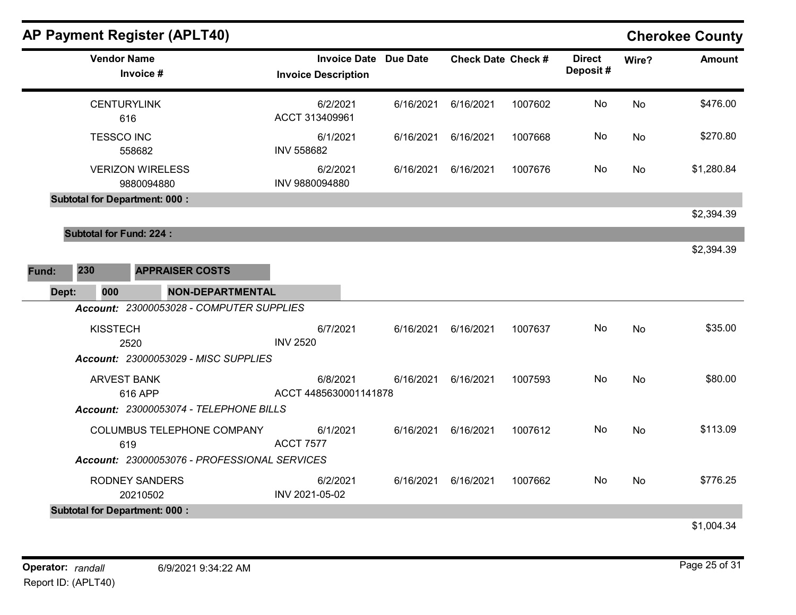|       |                                      |                                       | <b>AP Payment Register (APLT40)</b>          |                   |                                                   |           |                           |         |                           |           | <b>Cherokee County</b> |
|-------|--------------------------------------|---------------------------------------|----------------------------------------------|-------------------|---------------------------------------------------|-----------|---------------------------|---------|---------------------------|-----------|------------------------|
|       | <b>Vendor Name</b>                   | Invoice #                             |                                              |                   | <b>Invoice Date</b><br><b>Invoice Description</b> | Due Date  | <b>Check Date Check #</b> |         | <b>Direct</b><br>Deposit# | Wire?     | <b>Amount</b>          |
|       |                                      | <b>CENTURYLINK</b><br>616             |                                              |                   | 6/2/2021<br>ACCT 313409961                        | 6/16/2021 | 6/16/2021                 | 1007602 | No                        | No        | \$476.00               |
|       | <b>TESSCO INC</b>                    | 558682                                |                                              | <b>INV 558682</b> | 6/1/2021                                          | 6/16/2021 | 6/16/2021                 | 1007668 | No                        | No        | \$270.80               |
|       |                                      | <b>VERIZON WIRELESS</b><br>9880094880 |                                              | INV 9880094880    | 6/2/2021                                          | 6/16/2021 | 6/16/2021                 | 1007676 | No                        | No        | \$1,280.84             |
|       | <b>Subtotal for Department: 000:</b> |                                       |                                              |                   |                                                   |           |                           |         |                           |           |                        |
|       |                                      |                                       |                                              |                   |                                                   |           |                           |         |                           |           | \$2,394.39             |
|       | <b>Subtotal for Fund: 224:</b>       |                                       |                                              |                   |                                                   |           |                           |         |                           |           |                        |
| Fund: | 230                                  |                                       | <b>APPRAISER COSTS</b>                       |                   |                                                   |           |                           |         |                           |           | \$2,394.39             |
| Dept: | 000                                  |                                       | <b>NON-DEPARTMENTAL</b>                      |                   |                                                   |           |                           |         |                           |           |                        |
|       |                                      |                                       | Account: 23000053028 - COMPUTER SUPPLIES     |                   |                                                   |           |                           |         |                           |           |                        |
|       | <b>KISSTECH</b>                      | 2520                                  |                                              | <b>INV 2520</b>   | 6/7/2021                                          | 6/16/2021 | 6/16/2021                 | 1007637 | No                        | <b>No</b> | \$35.00                |
|       |                                      |                                       | Account: 23000053029 - MISC SUPPLIES         |                   |                                                   |           |                           |         |                           |           |                        |
|       | <b>ARVEST BANK</b>                   | 616 APP                               |                                              |                   | 6/8/2021<br>ACCT 4485630001141878                 | 6/16/2021 | 6/16/2021                 | 1007593 | No                        | <b>No</b> | \$80.00                |
|       |                                      |                                       | Account: 23000053074 - TELEPHONE BILLS       |                   |                                                   |           |                           |         |                           |           |                        |
|       |                                      | 619                                   | COLUMBUS TELEPHONE COMPANY                   | <b>ACCT 7577</b>  | 6/1/2021                                          | 6/16/2021 | 6/16/2021                 | 1007612 | No.                       | No        | \$113.09               |
|       |                                      |                                       | Account: 23000053076 - PROFESSIONAL SERVICES |                   |                                                   |           |                           |         |                           |           |                        |
|       |                                      | <b>RODNEY SANDERS</b><br>20210502     |                                              | INV 2021-05-02    | 6/2/2021                                          | 6/16/2021 | 6/16/2021                 | 1007662 | No.                       | <b>No</b> | \$776.25               |
|       | <b>Subtotal for Department: 000:</b> |                                       |                                              |                   |                                                   |           |                           |         |                           |           |                        |
|       |                                      |                                       |                                              |                   |                                                   |           |                           |         |                           |           | \$1,004.34             |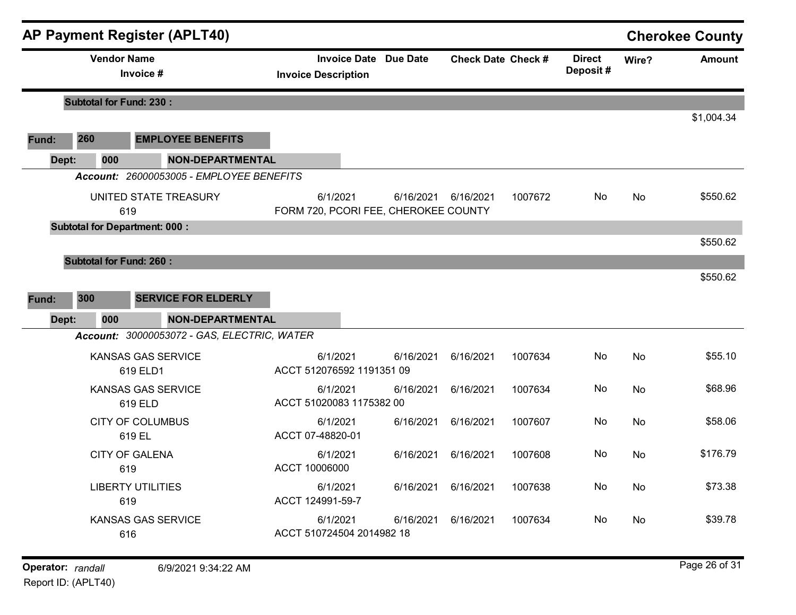|       |                                | <b>AP Payment Register (APLT40)</b>                                    |                                       |                                                   |                           |         |                           |       | <b>Cherokee County</b> |
|-------|--------------------------------|------------------------------------------------------------------------|---------------------------------------|---------------------------------------------------|---------------------------|---------|---------------------------|-------|------------------------|
|       | <b>Vendor Name</b>             | Invoice #                                                              | <b>Invoice Description</b>            | <b>Invoice Date Due Date</b>                      | <b>Check Date Check #</b> |         | <b>Direct</b><br>Deposit# | Wire? | <b>Amount</b>          |
|       | <b>Subtotal for Fund: 230:</b> |                                                                        |                                       |                                                   |                           |         |                           |       |                        |
| Fund: | 260                            | <b>EMPLOYEE BENEFITS</b>                                               |                                       |                                                   |                           |         |                           |       | \$1,004.34             |
| Dept: | 000                            | <b>NON-DEPARTMENTAL</b>                                                |                                       |                                                   |                           |         |                           |       |                        |
|       |                                | Account: 26000053005 - EMPLOYEE BENEFITS                               |                                       |                                                   |                           |         |                           |       |                        |
|       |                                | UNITED STATE TREASURY<br>619                                           | 6/1/2021                              | 6/16/2021<br>FORM 720, PCORI FEE, CHEROKEE COUNTY | 6/16/2021                 | 1007672 | No                        | No    | \$550.62               |
|       |                                | <b>Subtotal for Department: 000:</b>                                   |                                       |                                                   |                           |         |                           |       | \$550.62               |
|       | <b>Subtotal for Fund: 260:</b> |                                                                        |                                       |                                                   |                           |         |                           |       | \$550.62               |
| Fund: | 300                            | <b>SERVICE FOR ELDERLY</b>                                             |                                       |                                                   |                           |         |                           |       |                        |
| Dept: | 000                            | <b>NON-DEPARTMENTAL</b><br>Account: 30000053072 - GAS, ELECTRIC, WATER |                                       |                                                   |                           |         |                           |       |                        |
|       |                                | <b>KANSAS GAS SERVICE</b><br>619 ELD1                                  | 6/1/2021<br>ACCT 512076592 1191351 09 | 6/16/2021                                         | 6/16/2021                 | 1007634 | No.                       | No    | \$55.10                |
|       |                                | <b>KANSAS GAS SERVICE</b><br>619 ELD                                   | 6/1/2021<br>ACCT 51020083 1175382 00  | 6/16/2021                                         | 6/16/2021                 | 1007634 | No                        | No    | \$68.96                |
|       |                                | <b>CITY OF COLUMBUS</b><br>619 EL                                      | 6/1/2021<br>ACCT 07-48820-01          | 6/16/2021                                         | 6/16/2021                 | 1007607 | No                        | No    | \$58.06                |
|       |                                | <b>CITY OF GALENA</b><br>619                                           | 6/1/2021<br>ACCT 10006000             | 6/16/2021                                         | 6/16/2021                 | 1007608 | No                        | No    | \$176.79               |
|       |                                | <b>LIBERTY UTILITIES</b><br>619                                        | 6/1/2021<br>ACCT 124991-59-7          | 6/16/2021                                         | 6/16/2021                 | 1007638 | No                        | No    | \$73.38                |
|       |                                | <b>KANSAS GAS SERVICE</b><br>616                                       | 6/1/2021<br>ACCT 510724504 2014982 18 | 6/16/2021                                         | 6/16/2021                 | 1007634 | No                        | No    | \$39.78                |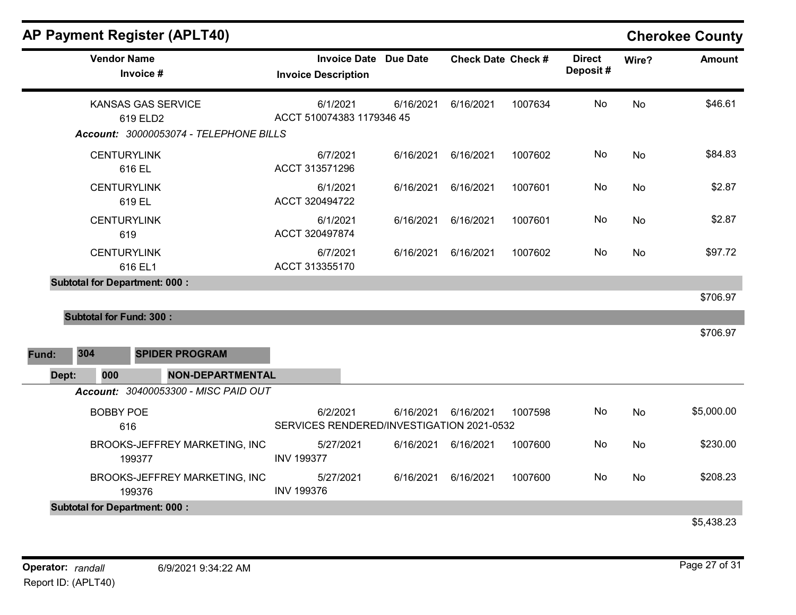|       |                                | <b>AP Payment Register (APLT40)</b>                                             |                                                            |           |                           |         |                           |           | <b>Cherokee County</b> |
|-------|--------------------------------|---------------------------------------------------------------------------------|------------------------------------------------------------|-----------|---------------------------|---------|---------------------------|-----------|------------------------|
|       | <b>Vendor Name</b>             | Invoice #                                                                       | <b>Invoice Date Due Date</b><br><b>Invoice Description</b> |           | <b>Check Date Check #</b> |         | <b>Direct</b><br>Deposit# | Wire?     | <b>Amount</b>          |
|       |                                | <b>KANSAS GAS SERVICE</b><br>619 ELD2<br>Account: 30000053074 - TELEPHONE BILLS | 6/1/2021<br>ACCT 510074383 1179346 45                      | 6/16/2021 | 6/16/2021                 | 1007634 | No                        | <b>No</b> | \$46.61                |
|       | <b>CENTURYLINK</b>             | 616 EL                                                                          | 6/7/2021<br>ACCT 313571296                                 | 6/16/2021 | 6/16/2021                 | 1007602 | No                        | No        | \$84.83                |
|       | <b>CENTURYLINK</b>             | 619 EL                                                                          | 6/1/2021<br>ACCT 320494722                                 | 6/16/2021 | 6/16/2021                 | 1007601 | No                        | No        | \$2.87                 |
|       | <b>CENTURYLINK</b><br>619      |                                                                                 | 6/1/2021<br>ACCT 320497874                                 | 6/16/2021 | 6/16/2021                 | 1007601 | No                        | No        | \$2.87                 |
|       | <b>CENTURYLINK</b>             | 616 EL1                                                                         | 6/7/2021<br>ACCT 313355170                                 | 6/16/2021 | 6/16/2021                 | 1007602 | No.                       | <b>No</b> | \$97.72                |
|       |                                | <b>Subtotal for Department: 000:</b>                                            |                                                            |           |                           |         |                           |           | \$706.97               |
|       | <b>Subtotal for Fund: 300:</b> |                                                                                 |                                                            |           |                           |         |                           |           | \$706.97               |
| Fund: | 304                            | <b>SPIDER PROGRAM</b>                                                           |                                                            |           |                           |         |                           |           |                        |
| Dept: | 000                            | <b>NON-DEPARTMENTAL</b>                                                         |                                                            |           |                           |         |                           |           |                        |
|       |                                | Account: 30400053300 - MISC PAID OUT                                            |                                                            |           |                           |         |                           |           |                        |
|       | <b>BOBBY POE</b><br>616        |                                                                                 | 6/2/2021<br>SERVICES RENDERED/INVESTIGATION 2021-0532      | 6/16/2021 | 6/16/2021                 | 1007598 | No                        | No        | \$5,000.00             |
|       |                                | BROOKS-JEFFREY MARKETING, INC<br>199377                                         | 5/27/2021<br><b>INV 199377</b>                             |           | 6/16/2021 6/16/2021       | 1007600 | No                        | No        | \$230.00               |
|       |                                | BROOKS-JEFFREY MARKETING, INC<br>199376                                         | 5/27/2021<br><b>INV 199376</b>                             | 6/16/2021 | 6/16/2021                 | 1007600 | No                        | <b>No</b> | \$208.23               |
|       |                                | <b>Subtotal for Department: 000:</b>                                            |                                                            |           |                           |         |                           |           |                        |
|       |                                |                                                                                 |                                                            |           |                           |         |                           |           | \$5,438.23             |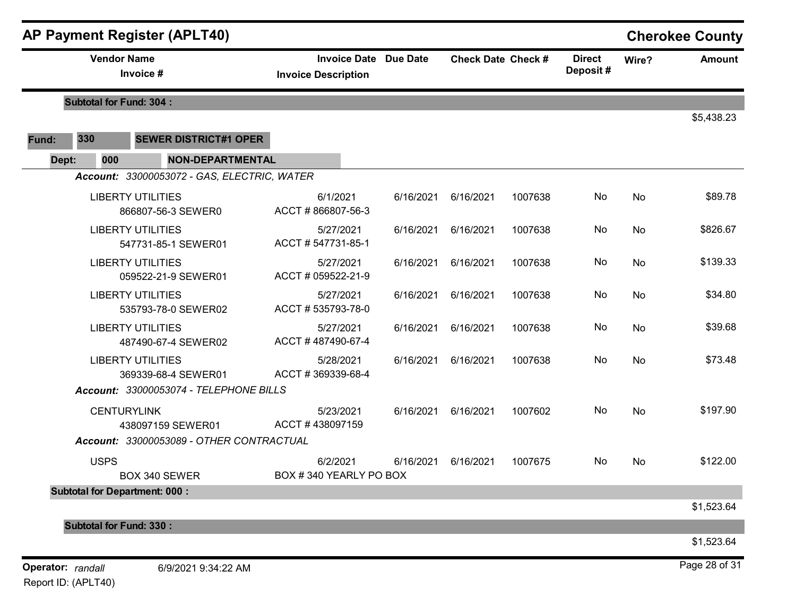|       |                                | <b>AP Payment Register (APLT40)</b>             |                                                            |           |                           |         |                           |       | <b>Cherokee County</b> |
|-------|--------------------------------|-------------------------------------------------|------------------------------------------------------------|-----------|---------------------------|---------|---------------------------|-------|------------------------|
|       | <b>Vendor Name</b>             | Invoice #                                       | <b>Invoice Date Due Date</b><br><b>Invoice Description</b> |           | <b>Check Date Check #</b> |         | <b>Direct</b><br>Deposit# | Wire? | <b>Amount</b>          |
|       | <b>Subtotal for Fund: 304:</b> |                                                 |                                                            |           |                           |         |                           |       |                        |
| Fund: | 330                            | <b>SEWER DISTRICT#1 OPER</b>                    |                                                            |           |                           |         |                           |       | \$5,438.23             |
| Dept: | 000                            | <b>NON-DEPARTMENTAL</b>                         |                                                            |           |                           |         |                           |       |                        |
|       |                                | Account: 33000053072 - GAS, ELECTRIC, WATER     |                                                            |           |                           |         |                           |       |                        |
|       |                                | <b>LIBERTY UTILITIES</b><br>866807-56-3 SEWER0  | 6/1/2021<br>ACCT #866807-56-3                              | 6/16/2021 | 6/16/2021                 | 1007638 | No                        | No    | \$89.78                |
|       |                                | <b>LIBERTY UTILITIES</b><br>547731-85-1 SEWER01 | 5/27/2021<br>ACCT #547731-85-1                             | 6/16/2021 | 6/16/2021                 | 1007638 | No                        | No    | \$826.67               |
|       |                                | <b>LIBERTY UTILITIES</b><br>059522-21-9 SEWER01 | 5/27/2021<br>ACCT # 059522-21-9                            | 6/16/2021 | 6/16/2021                 | 1007638 | No                        | No    | \$139.33               |
|       |                                | <b>LIBERTY UTILITIES</b><br>535793-78-0 SEWER02 | 5/27/2021<br>ACCT #535793-78-0                             | 6/16/2021 | 6/16/2021                 | 1007638 | No                        | No    | \$34.80                |
|       |                                | <b>LIBERTY UTILITIES</b><br>487490-67-4 SEWER02 | 5/27/2021<br>ACCT #487490-67-4                             | 6/16/2021 | 6/16/2021                 | 1007638 | No                        | No    | \$39.68                |
|       |                                | <b>LIBERTY UTILITIES</b><br>369339-68-4 SEWER01 | 5/28/2021<br>ACCT #369339-68-4                             | 6/16/2021 | 6/16/2021                 | 1007638 | No                        | No    | \$73.48                |
|       |                                | Account: 33000053074 - TELEPHONE BILLS          |                                                            |           |                           |         |                           |       |                        |
|       | <b>CENTURYLINK</b>             | 438097159 SEWER01                               | 5/23/2021<br>ACCT#438097159                                | 6/16/2021 | 6/16/2021                 | 1007602 | No                        | No    | \$197.90               |
|       |                                | Account: 33000053089 - OTHER CONTRACTUAL        |                                                            |           |                           |         |                           |       |                        |
|       | <b>USPS</b>                    | BOX 340 SEWER                                   | 6/2/2021<br>BOX #340 YEARLY PO BOX                         | 6/16/2021 | 6/16/2021                 | 1007675 | No                        | No    | \$122.00               |
|       |                                | <b>Subtotal for Department: 000:</b>            |                                                            |           |                           |         |                           |       |                        |
|       |                                |                                                 |                                                            |           |                           |         |                           |       | \$1,523.64             |
|       | <b>Subtotal for Fund: 330:</b> |                                                 |                                                            |           |                           |         |                           |       | \$1,523.64             |
|       | Operator: randall              | 6/9/2021 9:34:22 AM                             |                                                            |           |                           |         |                           |       | Page 28 of 31          |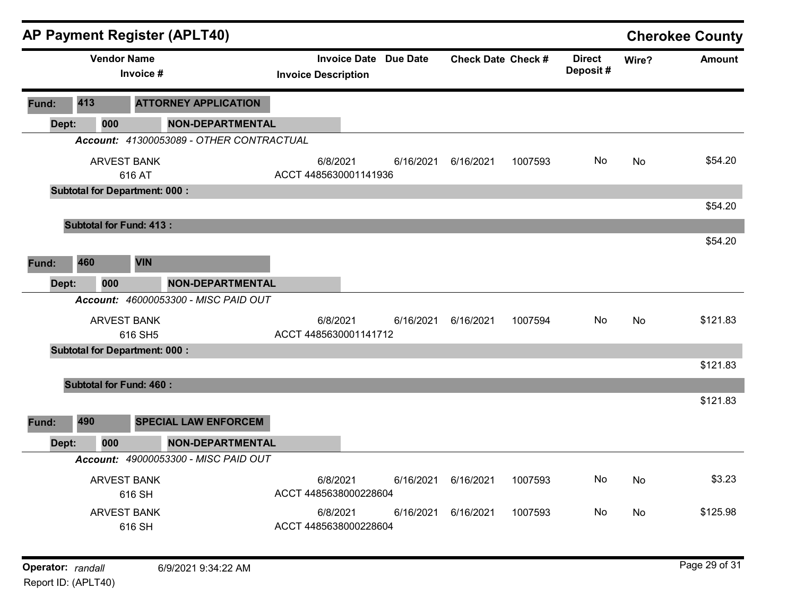|                   |     |                    | AP Payment Register (APLT40)                |                                                            |           |                           |         |                           |       | <b>Cherokee County</b> |
|-------------------|-----|--------------------|---------------------------------------------|------------------------------------------------------------|-----------|---------------------------|---------|---------------------------|-------|------------------------|
|                   |     | <b>Vendor Name</b> | Invoice #                                   | <b>Invoice Date Due Date</b><br><b>Invoice Description</b> |           | <b>Check Date Check #</b> |         | <b>Direct</b><br>Deposit# | Wire? | <b>Amount</b>          |
| Fund:             | 413 |                    | <b>ATTORNEY APPLICATION</b>                 |                                                            |           |                           |         |                           |       |                        |
| Dept:             |     | 000                | <b>NON-DEPARTMENTAL</b>                     |                                                            |           |                           |         |                           |       |                        |
|                   |     |                    | Account: 41300053089 - OTHER CONTRACTUAL    |                                                            |           |                           |         |                           |       |                        |
|                   |     |                    | <b>ARVEST BANK</b><br>616 AT                | 6/8/2021<br>ACCT 4485630001141936                          | 6/16/2021 | 6/16/2021                 | 1007593 | No                        | No    | \$54.20                |
|                   |     |                    | <b>Subtotal for Department: 000:</b>        |                                                            |           |                           |         |                           |       |                        |
|                   |     |                    |                                             |                                                            |           |                           |         |                           |       | \$54.20                |
|                   |     |                    | <b>Subtotal for Fund: 413:</b>              |                                                            |           |                           |         |                           |       | \$54.20                |
|                   |     |                    |                                             |                                                            |           |                           |         |                           |       |                        |
| Fund:             | 460 |                    | <b>VIN</b>                                  |                                                            |           |                           |         |                           |       |                        |
| Dept:             |     | 000                | <b>NON-DEPARTMENTAL</b>                     |                                                            |           |                           |         |                           |       |                        |
|                   |     |                    | Account: 46000053300 - MISC PAID OUT        |                                                            |           |                           |         |                           |       |                        |
|                   |     |                    | <b>ARVEST BANK</b><br>616 SH5               | 6/8/2021<br>ACCT 4485630001141712                          | 6/16/2021 | 6/16/2021                 | 1007594 | No                        | No    | \$121.83               |
|                   |     |                    | <b>Subtotal for Department: 000:</b>        |                                                            |           |                           |         |                           |       |                        |
|                   |     |                    |                                             |                                                            |           |                           |         |                           |       | \$121.83               |
|                   |     |                    | <b>Subtotal for Fund: 460:</b>              |                                                            |           |                           |         |                           |       |                        |
|                   |     |                    |                                             |                                                            |           |                           |         |                           |       | \$121.83               |
| Fund:             | 490 |                    | <b>SPECIAL LAW ENFORCEM</b>                 |                                                            |           |                           |         |                           |       |                        |
| Dept:             |     | 000                | <b>NON-DEPARTMENTAL</b>                     |                                                            |           |                           |         |                           |       |                        |
|                   |     |                    | <b>Account: 49000053300 - MISC PAID OUT</b> |                                                            |           |                           |         |                           |       |                        |
|                   |     |                    | ARVEST BANK                                 | 6/8/2021                                                   | 6/16/2021 | 6/16/2021                 | 1007593 | No                        | No    | \$3.23                 |
|                   |     |                    | 616 SH                                      | ACCT 4485638000228604                                      |           |                           |         |                           |       |                        |
|                   |     |                    | <b>ARVEST BANK</b><br>616 SH                | 6/8/2021<br>ACCT 4485638000228604                          | 6/16/2021 | 6/16/2021                 | 1007593 | No                        | No    | \$125.98               |
|                   |     |                    |                                             |                                                            |           |                           |         |                           |       |                        |
| Operator: randall |     |                    | 6/9/2021 9:34:22 AM                         |                                                            |           |                           |         |                           |       | Page 29 of 31          |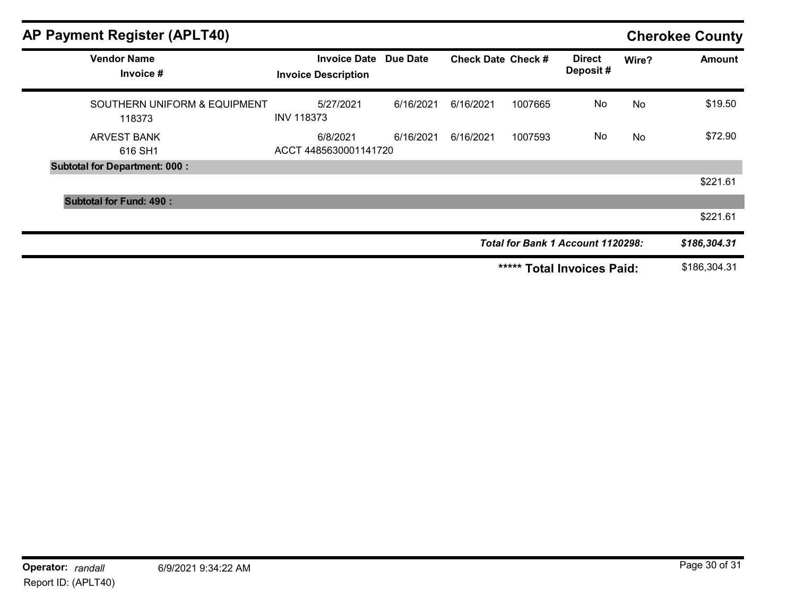| <b>AP Payment Register (APLT40)</b>    |                                                            |           |                           |         |                                   |       | <b>Cherokee County</b> |
|----------------------------------------|------------------------------------------------------------|-----------|---------------------------|---------|-----------------------------------|-------|------------------------|
| <b>Vendor Name</b><br>Invoice #        | <b>Invoice Date Due Date</b><br><b>Invoice Description</b> |           | <b>Check Date Check #</b> |         | <b>Direct</b><br>Deposit#         | Wire? | <b>Amount</b>          |
| SOUTHERN UNIFORM & EQUIPMENT<br>118373 | 5/27/2021<br><b>INV 118373</b>                             | 6/16/2021 | 6/16/2021                 | 1007665 | No                                | No    | \$19.50                |
| <b>ARVEST BANK</b><br>616 SH1          | 6/8/2021<br>ACCT 4485630001141720                          | 6/16/2021 | 6/16/2021                 | 1007593 | No                                | No    | \$72.90                |
| <b>Subtotal for Department: 000:</b>   |                                                            |           |                           |         |                                   |       |                        |
|                                        |                                                            |           |                           |         |                                   |       | \$221.61               |
| <b>Subtotal for Fund: 490:</b>         |                                                            |           |                           |         |                                   |       |                        |
|                                        |                                                            |           |                           |         |                                   |       | \$221.61               |
|                                        |                                                            |           |                           |         | Total for Bank 1 Account 1120298: |       | \$186,304.31           |
|                                        |                                                            |           |                           | *****   | <b>Total Invoices Paid:</b>       |       | \$186,304.31           |